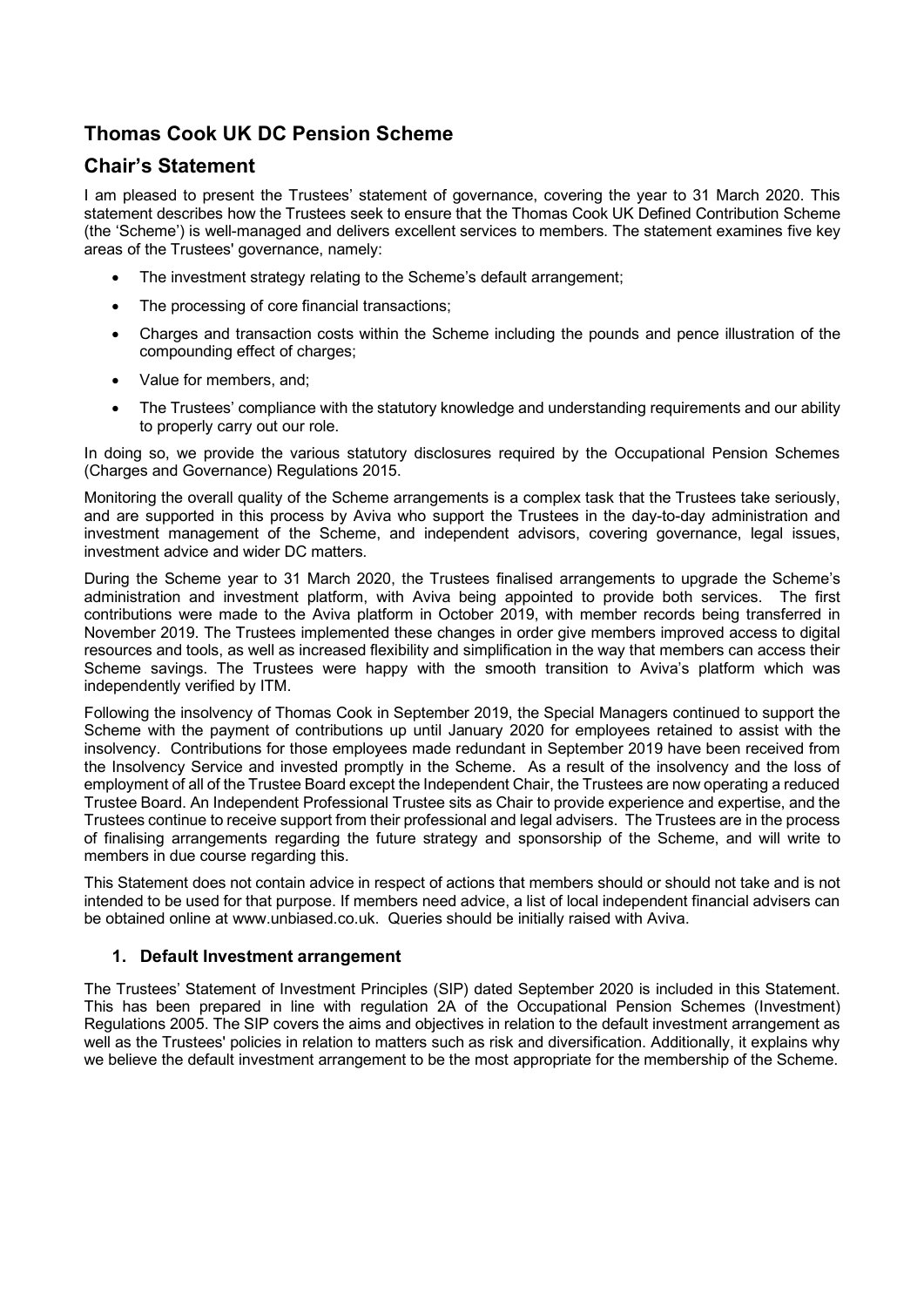# **Thomas Cook UK DC Pension Scheme**

# **Chair's Statement**

I am pleased to present the Trustees' statement of governance, covering the year to 31 March 2020. This statement describes how the Trustees seek to ensure that the Thomas Cook UK Defined Contribution Scheme (the 'Scheme') is well-managed and delivers excellent services to members. The statement examines five key areas of the Trustees' governance, namely:

- The investment strategy relating to the Scheme's default arrangement;
- The processing of core financial transactions:
- Charges and transaction costs within the Scheme including the pounds and pence illustration of the compounding effect of charges;
- Value for members, and;
- The Trustees' compliance with the statutory knowledge and understanding requirements and our ability to properly carry out our role.

In doing so, we provide the various statutory disclosures required by the Occupational Pension Schemes (Charges and Governance) Regulations 2015.

Monitoring the overall quality of the Scheme arrangements is a complex task that the Trustees take seriously, and are supported in this process by Aviva who support the Trustees in the day-to-day administration and investment management of the Scheme, and independent advisors, covering governance, legal issues, investment advice and wider DC matters.

During the Scheme year to 31 March 2020, the Trustees finalised arrangements to upgrade the Scheme's administration and investment platform, with Aviva being appointed to provide both services. The first contributions were made to the Aviva platform in October 2019, with member records being transferred in November 2019. The Trustees implemented these changes in order give members improved access to digital resources and tools, as well as increased flexibility and simplification in the way that members can access their Scheme savings. The Trustees were happy with the smooth transition to Aviva's platform which was independently verified by ITM.

Following the insolvency of Thomas Cook in September 2019, the Special Managers continued to support the Scheme with the payment of contributions up until January 2020 for employees retained to assist with the insolvency. Contributions for those employees made redundant in September 2019 have been received from the Insolvency Service and invested promptly in the Scheme. As a result of the insolvency and the loss of employment of all of the Trustee Board except the Independent Chair, the Trustees are now operating a reduced Trustee Board. An Independent Professional Trustee sits as Chair to provide experience and expertise, and the Trustees continue to receive support from their professional and legal advisers. The Trustees are in the process of finalising arrangements regarding the future strategy and sponsorship of the Scheme, and will write to members in due course regarding this.

This Statement does not contain advice in respect of actions that members should or should not take and is not intended to be used for that purpose. If members need advice, a list of local independent financial advisers can be obtained online at www.unbiased.co.uk. Queries should be initially raised with Aviva.

### **1. Default Investment arrangement**

The Trustees' Statement of Investment Principles (SIP) dated September 2020 is included in this Statement. This has been prepared in line with regulation 2A of the Occupational Pension Schemes (Investment) Regulations 2005. The SIP covers the aims and objectives in relation to the default investment arrangement as well as the Trustees' policies in relation to matters such as risk and diversification. Additionally, it explains why we believe the default investment arrangement to be the most appropriate for the membership of the Scheme.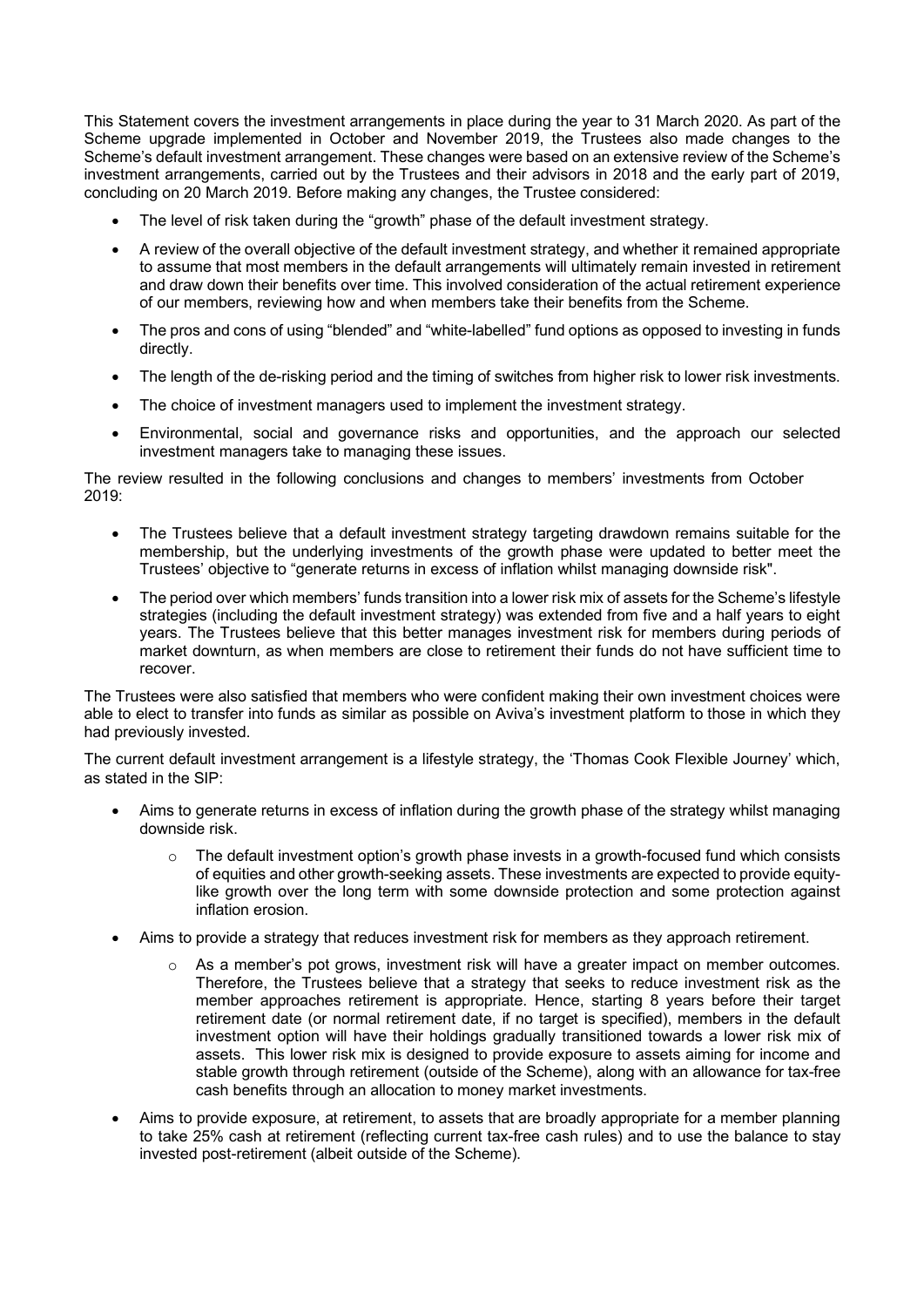This Statement covers the investment arrangements in place during the year to 31 March 2020. As part of the Scheme upgrade implemented in October and November 2019, the Trustees also made changes to the Scheme's default investment arrangement. These changes were based on an extensive review of the Scheme's investment arrangements, carried out by the Trustees and their advisors in 2018 and the early part of 2019, concluding on 20 March 2019. Before making any changes, the Trustee considered:

- The level of risk taken during the "growth" phase of the default investment strategy.
- A review of the overall objective of the default investment strategy, and whether it remained appropriate to assume that most members in the default arrangements will ultimately remain invested in retirement and draw down their benefits over time. This involved consideration of the actual retirement experience of our members, reviewing how and when members take their benefits from the Scheme.
- The pros and cons of using "blended" and "white-labelled" fund options as opposed to investing in funds directly.
- The length of the de-risking period and the timing of switches from higher risk to lower risk investments.
- The choice of investment managers used to implement the investment strategy.
- Environmental, social and governance risks and opportunities, and the approach our selected investment managers take to managing these issues.

The review resulted in the following conclusions and changes to members' investments from October 2019:

- The Trustees believe that a default investment strategy targeting drawdown remains suitable for the membership, but the underlying investments of the growth phase were updated to better meet the Trustees' objective to "generate returns in excess of inflation whilst managing downside risk".
- The period over which members' funds transition into a lower risk mix of assets for the Scheme's lifestyle strategies (including the default investment strategy) was extended from five and a half years to eight years. The Trustees believe that this better manages investment risk for members during periods of market downturn, as when members are close to retirement their funds do not have sufficient time to recover.

The Trustees were also satisfied that members who were confident making their own investment choices were able to elect to transfer into funds as similar as possible on Aviva's investment platform to those in which they had previously invested.

The current default investment arrangement is a lifestyle strategy, the 'Thomas Cook Flexible Journey' which, as stated in the SIP:

- Aims to generate returns in excess of inflation during the growth phase of the strategy whilst managing downside risk.
	- o The default investment option's growth phase invests in a growth-focused fund which consists of equities and other growth-seeking assets. These investments are expected to provide equitylike growth over the long term with some downside protection and some protection against inflation erosion.
- Aims to provide a strategy that reduces investment risk for members as they approach retirement.
	- o As a member's pot grows, investment risk will have a greater impact on member outcomes. Therefore, the Trustees believe that a strategy that seeks to reduce investment risk as the member approaches retirement is appropriate. Hence, starting 8 years before their target retirement date (or normal retirement date, if no target is specified), members in the default investment option will have their holdings gradually transitioned towards a lower risk mix of assets. This lower risk mix is designed to provide exposure to assets aiming for income and stable growth through retirement (outside of the Scheme), along with an allowance for tax-free cash benefits through an allocation to money market investments.
- Aims to provide exposure, at retirement, to assets that are broadly appropriate for a member planning to take 25% cash at retirement (reflecting current tax-free cash rules) and to use the balance to stay invested post-retirement (albeit outside of the Scheme).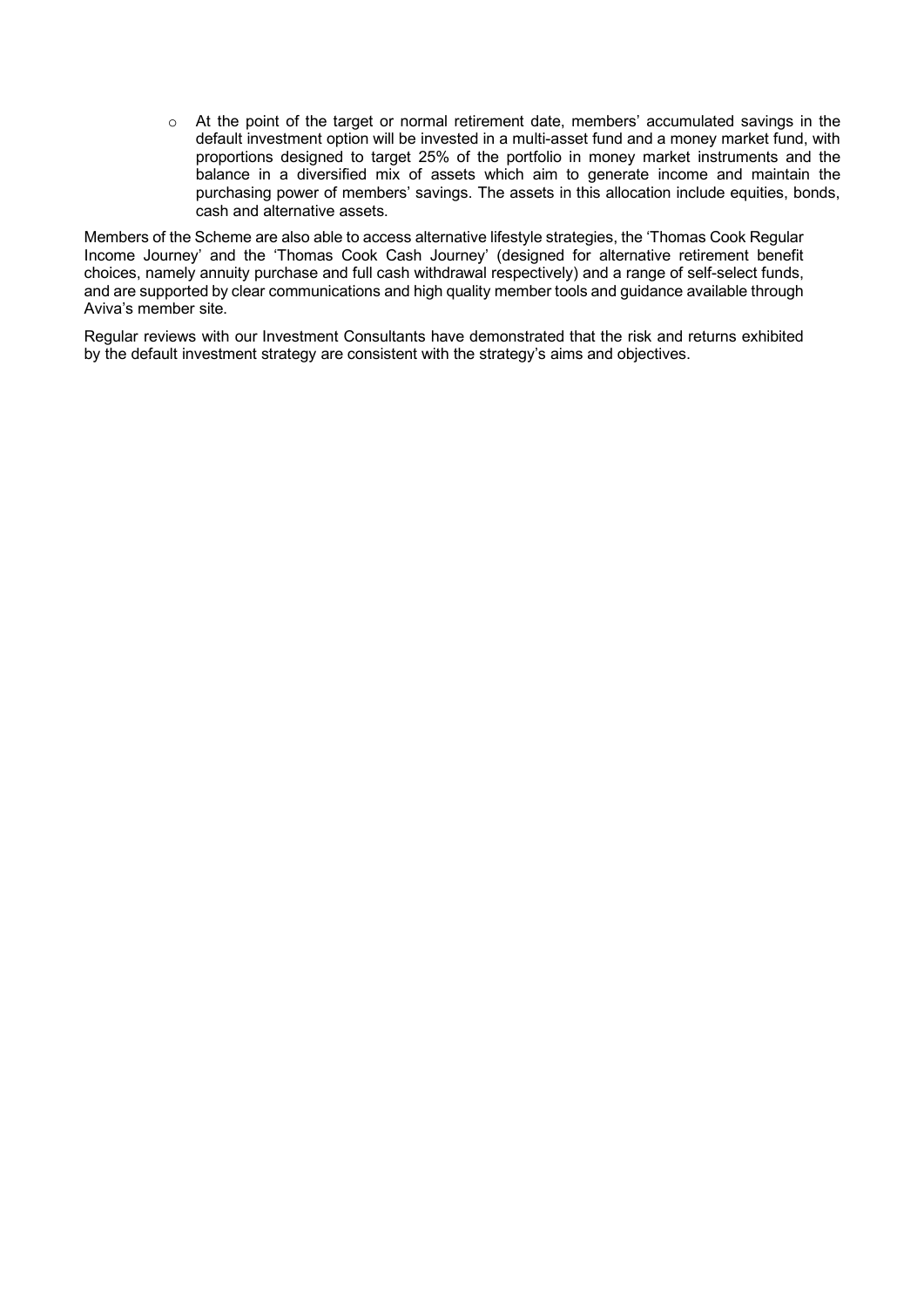$\circ$  At the point of the target or normal retirement date, members' accumulated savings in the default investment option will be invested in a multi-asset fund and a money market fund, with proportions designed to target 25% of the portfolio in money market instruments and the balance in a diversified mix of assets which aim to generate income and maintain the purchasing power of members' savings. The assets in this allocation include equities, bonds, cash and alternative assets.

Members of the Scheme are also able to access alternative lifestyle strategies, the 'Thomas Cook Regular Income Journey' and the 'Thomas Cook Cash Journey' (designed for alternative retirement benefit choices, namely annuity purchase and full cash withdrawal respectively) and a range of self-select funds, and are supported by clear communications and high quality member tools and guidance available through Aviva's member site.

Regular reviews with our Investment Consultants have demonstrated that the risk and returns exhibited by the default investment strategy are consistent with the strategy's aims and objectives.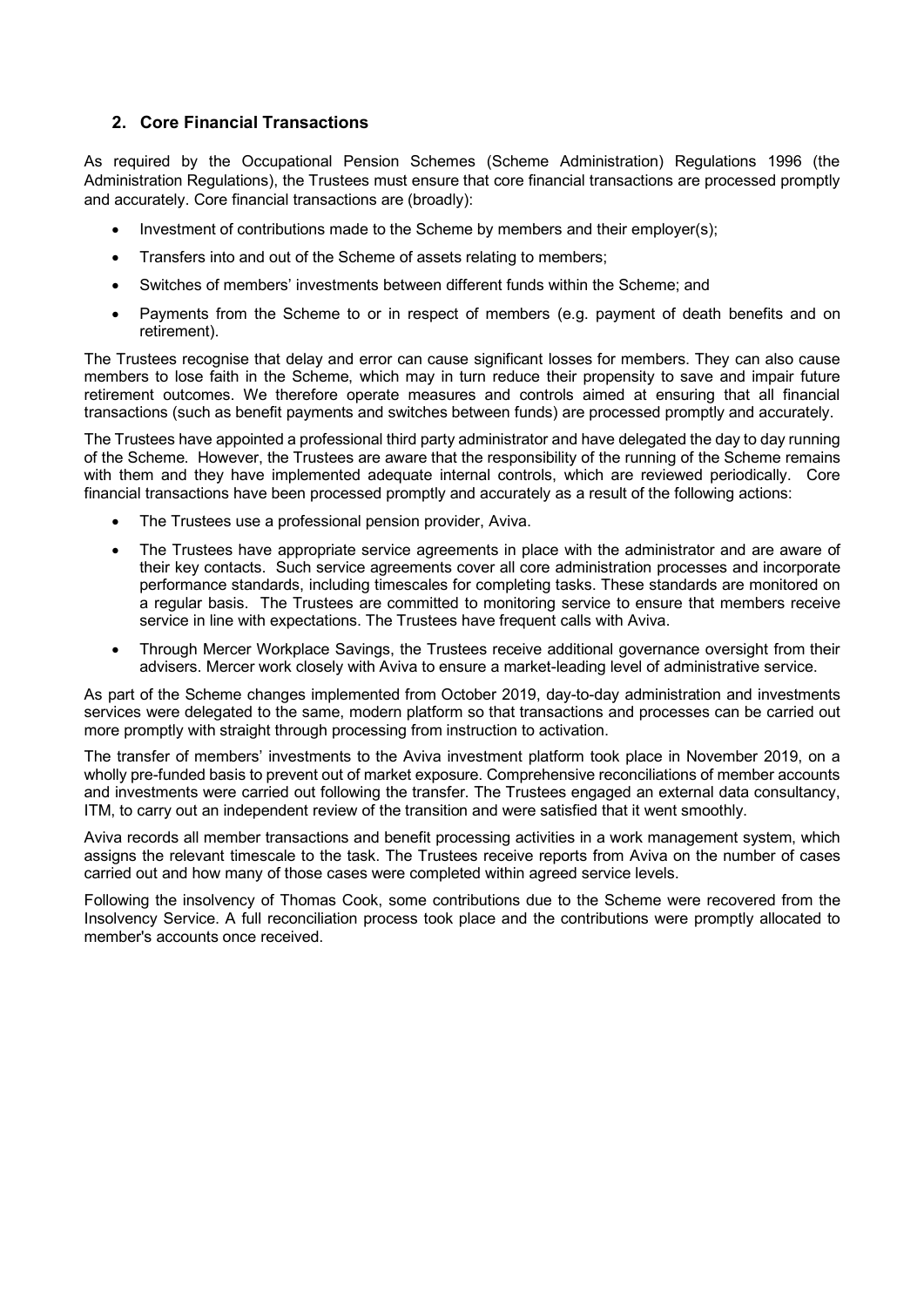### **2. Core Financial Transactions**

As required by the Occupational Pension Schemes (Scheme Administration) Regulations 1996 (the Administration Regulations), the Trustees must ensure that core financial transactions are processed promptly and accurately. Core financial transactions are (broadly):

- Investment of contributions made to the Scheme by members and their employer(s);
- Transfers into and out of the Scheme of assets relating to members;
- Switches of members' investments between different funds within the Scheme; and
- Payments from the Scheme to or in respect of members (e.g. payment of death benefits and on retirement).

The Trustees recognise that delay and error can cause significant losses for members. They can also cause members to lose faith in the Scheme, which may in turn reduce their propensity to save and impair future retirement outcomes. We therefore operate measures and controls aimed at ensuring that all financial transactions (such as benefit payments and switches between funds) are processed promptly and accurately.

The Trustees have appointed a professional third party administrator and have delegated the day to day running of the Scheme. However, the Trustees are aware that the responsibility of the running of the Scheme remains with them and they have implemented adequate internal controls, which are reviewed periodically. Core financial transactions have been processed promptly and accurately as a result of the following actions:

- The Trustees use a professional pension provider, Aviva.
- The Trustees have appropriate service agreements in place with the administrator and are aware of their key contacts. Such service agreements cover all core administration processes and incorporate performance standards, including timescales for completing tasks. These standards are monitored on a regular basis. The Trustees are committed to monitoring service to ensure that members receive service in line with expectations. The Trustees have frequent calls with Aviva.
- Through Mercer Workplace Savings, the Trustees receive additional governance oversight from their advisers. Mercer work closely with Aviva to ensure a market-leading level of administrative service.

As part of the Scheme changes implemented from October 2019, day-to-day administration and investments services were delegated to the same, modern platform so that transactions and processes can be carried out more promptly with straight through processing from instruction to activation.

The transfer of members' investments to the Aviva investment platform took place in November 2019, on a wholly pre-funded basis to prevent out of market exposure. Comprehensive reconciliations of member accounts and investments were carried out following the transfer. The Trustees engaged an external data consultancy, ITM, to carry out an independent review of the transition and were satisfied that it went smoothly.

Aviva records all member transactions and benefit processing activities in a work management system, which assigns the relevant timescale to the task. The Trustees receive reports from Aviva on the number of cases carried out and how many of those cases were completed within agreed service levels.

Following the insolvency of Thomas Cook, some contributions due to the Scheme were recovered from the Insolvency Service. A full reconciliation process took place and the contributions were promptly allocated to member's accounts once received.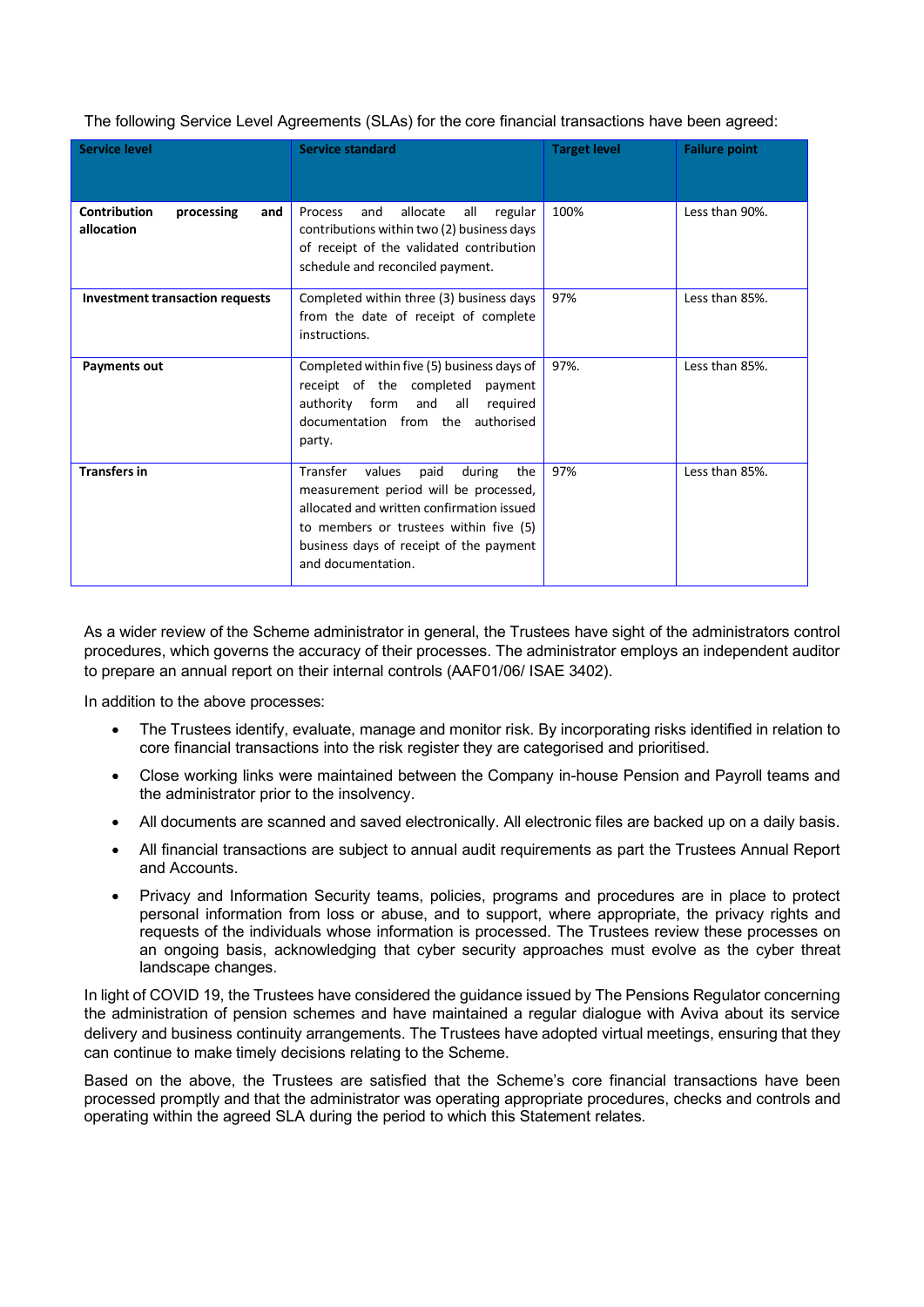The following Service Level Agreements (SLAs) for the core financial transactions have been agreed:

| <b>Service level</b>                                   | <b>Service standard</b>                                                                                                                                                                                                                      | <b>Target level</b> | <b>Failure point</b> |  |
|--------------------------------------------------------|----------------------------------------------------------------------------------------------------------------------------------------------------------------------------------------------------------------------------------------------|---------------------|----------------------|--|
| <b>Contribution</b><br>processing<br>and<br>allocation | allocate<br>and<br>all<br>regular<br><b>Process</b><br>contributions within two (2) business days<br>of receipt of the validated contribution<br>schedule and reconciled payment.                                                            | 100%                | Less than 90%.       |  |
| <b>Investment transaction requests</b>                 | Completed within three (3) business days<br>from the date of receipt of complete<br>instructions.                                                                                                                                            | 97%                 | Less than 85%.       |  |
| Payments out                                           | Completed within five (5) business days of<br>receipt of the completed<br>payment<br>authority form<br>and<br>all<br>required<br>documentation from the authorised<br>party.                                                                 | 97%.                | Less than 85%.       |  |
| <b>Transfers in</b>                                    | Transfer<br>values<br>paid<br>during<br>the<br>measurement period will be processed,<br>allocated and written confirmation issued<br>to members or trustees within five (5)<br>business days of receipt of the payment<br>and documentation. | 97%                 | Less than 85%.       |  |

As a wider review of the Scheme administrator in general, the Trustees have sight of the administrators control procedures, which governs the accuracy of their processes. The administrator employs an independent auditor to prepare an annual report on their internal controls (AAF01/06/ ISAE 3402).

In addition to the above processes:

- The Trustees identify, evaluate, manage and monitor risk. By incorporating risks identified in relation to core financial transactions into the risk register they are categorised and prioritised.
- Close working links were maintained between the Company in-house Pension and Payroll teams and the administrator prior to the insolvency.
- All documents are scanned and saved electronically. All electronic files are backed up on a daily basis.
- All financial transactions are subject to annual audit requirements as part the Trustees Annual Report and Accounts.
- Privacy and Information Security teams, policies, programs and procedures are in place to protect personal information from loss or abuse, and to support, where appropriate, the privacy rights and requests of the individuals whose information is processed. The Trustees review these processes on an ongoing basis, acknowledging that cyber security approaches must evolve as the cyber threat landscape changes.

In light of COVID 19, the Trustees have considered the guidance issued by The Pensions Regulator concerning the administration of pension schemes and have maintained a regular dialogue with Aviva about its service delivery and business continuity arrangements. The Trustees have adopted virtual meetings, ensuring that they can continue to make timely decisions relating to the Scheme.

Based on the above, the Trustees are satisfied that the Scheme's core financial transactions have been processed promptly and that the administrator was operating appropriate procedures, checks and controls and operating within the agreed SLA during the period to which this Statement relates.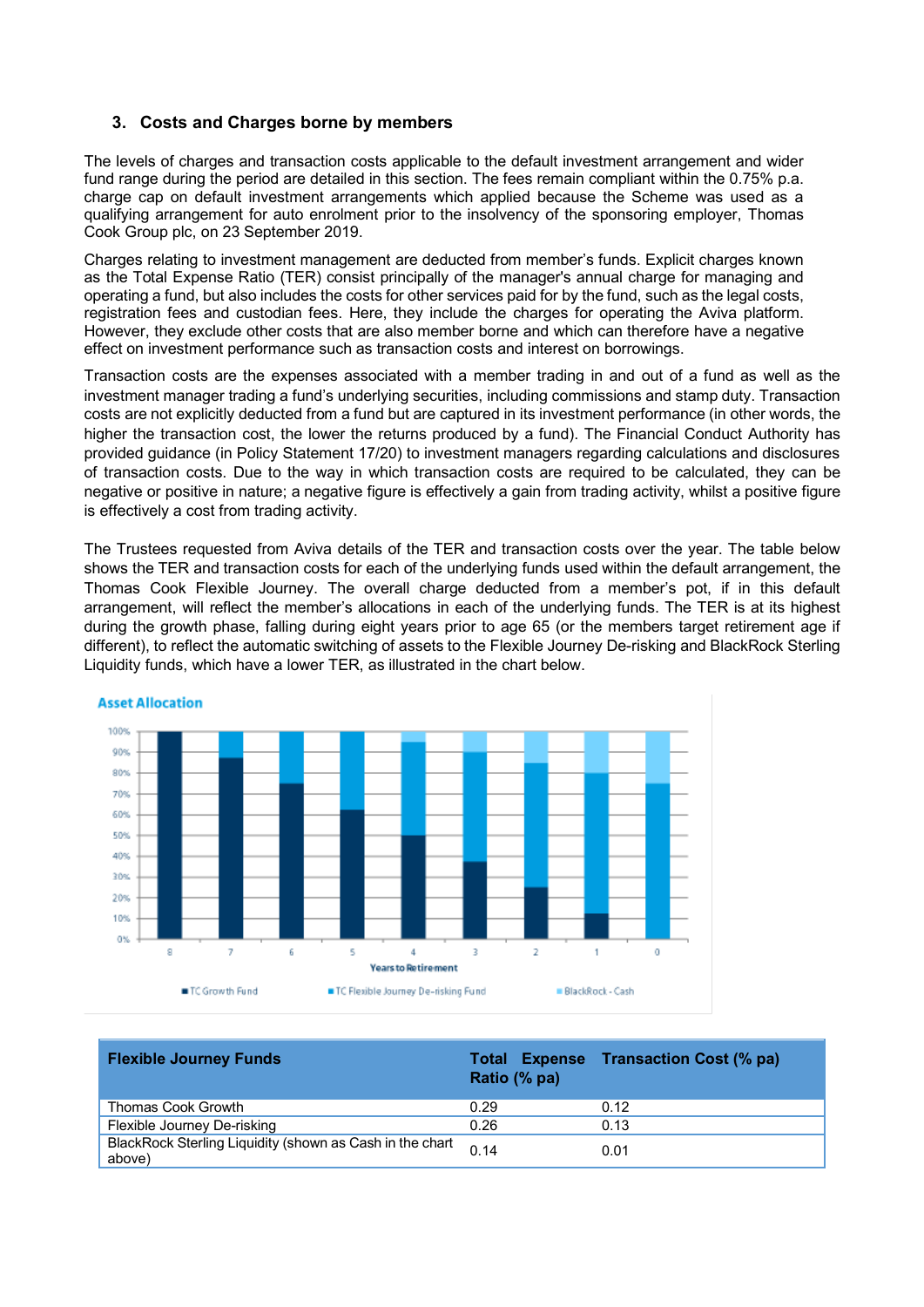#### **3. Costs and Charges borne by members**

The levels of charges and transaction costs applicable to the default investment arrangement and wider fund range during the period are detailed in this section. The fees remain compliant within the 0.75% p.a. charge cap on default investment arrangements which applied because the Scheme was used as a qualifying arrangement for auto enrolment prior to the insolvency of the sponsoring employer, Thomas Cook Group plc, on 23 September 2019.

Charges relating to investment management are deducted from member's funds. Explicit charges known as the Total Expense Ratio (TER) consist principally of the manager's annual charge for managing and operating a fund, but also includes the costs for other services paid for by the fund, such as the legal costs, registration fees and custodian fees. Here, they include the charges for operating the Aviva platform. However, they exclude other costs that are also member borne and which can therefore have a negative effect on investment performance such as transaction costs and interest on borrowings.

Transaction costs are the expenses associated with a member trading in and out of a fund as well as the investment manager trading a fund's underlying securities, including commissions and stamp duty. Transaction costs are not explicitly deducted from a fund but are captured in its investment performance (in other words, the higher the transaction cost, the lower the returns produced by a fund). The Financial Conduct Authority has provided guidance (in Policy Statement 17/20) to investment managers regarding calculations and disclosures of transaction costs. Due to the way in which transaction costs are required to be calculated, they can be negative or positive in nature; a negative figure is effectively a gain from trading activity, whilst a positive figure is effectively a cost from trading activity.

The Trustees requested from Aviva details of the TER and transaction costs over the year. The table below shows the TER and transaction costs for each of the underlying funds used within the default arrangement, the Thomas Cook Flexible Journey. The overall charge deducted from a member's pot, if in this default arrangement, will reflect the member's allocations in each of the underlying funds. The TER is at its highest during the growth phase, falling during eight years prior to age 65 (or the members target retirement age if different), to reflect the automatic switching of assets to the Flexible Journey De-risking and BlackRock Sterling Liquidity funds, which have a lower TER, as illustrated in the chart below.



#### **Asset Allocation**

| <b>Flexible Journey Funds</b>                                      | Ratio (% pa) | Total Expense Transaction Cost (% pa) |
|--------------------------------------------------------------------|--------------|---------------------------------------|
| Thomas Cook Growth                                                 | 0.29         | 0.12                                  |
| Flexible Journey De-risking                                        | 0.26         | 0.13                                  |
| BlackRock Sterling Liquidity (shown as Cash in the chart<br>above) | 0.14         | 0.01                                  |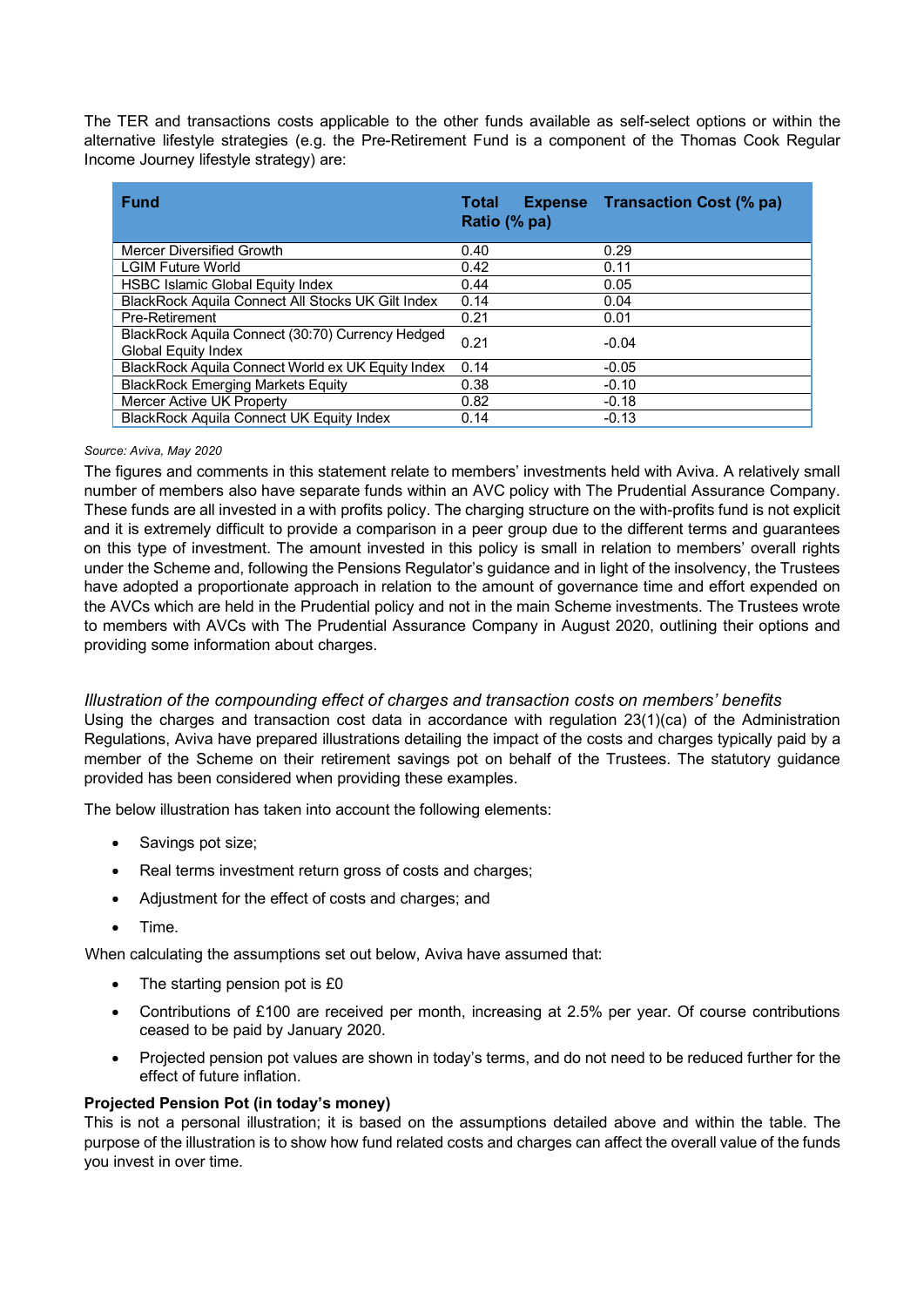The TER and transactions costs applicable to the other funds available as self-select options or within the alternative lifestyle strategies (e.g. the Pre-Retirement Fund is a component of the Thomas Cook Regular Income Journey lifestyle strategy) are:

| <b>Fund</b>                                                             | Total<br>Ratio (% pa) | <b>Expense</b> Transaction Cost (% pa) |
|-------------------------------------------------------------------------|-----------------------|----------------------------------------|
| Mercer Diversified Growth                                               | 0.40                  | 0.29                                   |
| <b>LGIM Future World</b>                                                | 0.42                  | 0.11                                   |
| <b>HSBC Islamic Global Equity Index</b>                                 | 0.44                  | 0.05                                   |
| BlackRock Aguila Connect All Stocks UK Gilt Index                       | 0.14                  | 0.04                                   |
| Pre-Retirement                                                          | 0.21                  | 0.01                                   |
| BlackRock Aquila Connect (30:70) Currency Hedged<br>Global Equity Index | 0.21                  | $-0.04$                                |
| BlackRock Aquila Connect World ex UK Equity Index                       | 0.14                  | $-0.05$                                |
| <b>BlackRock Emerging Markets Equity</b>                                | 0.38                  | $-0.10$                                |
| Mercer Active UK Property                                               | 0.82                  | $-0.18$                                |
| <b>BlackRock Aguila Connect UK Equity Index</b>                         | 0.14                  | $-0.13$                                |

#### *Source: Aviva, May 2020*

The figures and comments in this statement relate to members' investments held with Aviva. A relatively small number of members also have separate funds within an AVC policy with The Prudential Assurance Company. These funds are all invested in a with profits policy. The charging structure on the with-profits fund is not explicit and it is extremely difficult to provide a comparison in a peer group due to the different terms and guarantees on this type of investment. The amount invested in this policy is small in relation to members' overall rights under the Scheme and, following the Pensions Regulator's guidance and in light of the insolvency, the Trustees have adopted a proportionate approach in relation to the amount of governance time and effort expended on the AVCs which are held in the Prudential policy and not in the main Scheme investments. The Trustees wrote to members with AVCs with The Prudential Assurance Company in August 2020, outlining their options and providing some information about charges.

#### *Illustration of the compounding effect of charges and transaction costs on members' benefits*

Using the charges and transaction cost data in accordance with regulation 23(1)(ca) of the Administration Regulations, Aviva have prepared illustrations detailing the impact of the costs and charges typically paid by a member of the Scheme on their retirement savings pot on behalf of the Trustees. The statutory guidance provided has been considered when providing these examples.

The below illustration has taken into account the following elements:

- Savings pot size;
- Real terms investment return gross of costs and charges;
- Adjustment for the effect of costs and charges; and
- Time.

When calculating the assumptions set out below, Aviva have assumed that:

- The starting pension pot is £0
- Contributions of £100 are received per month, increasing at 2.5% per year. Of course contributions ceased to be paid by January 2020.
- Projected pension pot values are shown in today's terms, and do not need to be reduced further for the effect of future inflation.

#### **Projected Pension Pot (in today's money)**

This is not a personal illustration; it is based on the assumptions detailed above and within the table. The purpose of the illustration is to show how fund related costs and charges can affect the overall value of the funds you invest in over time.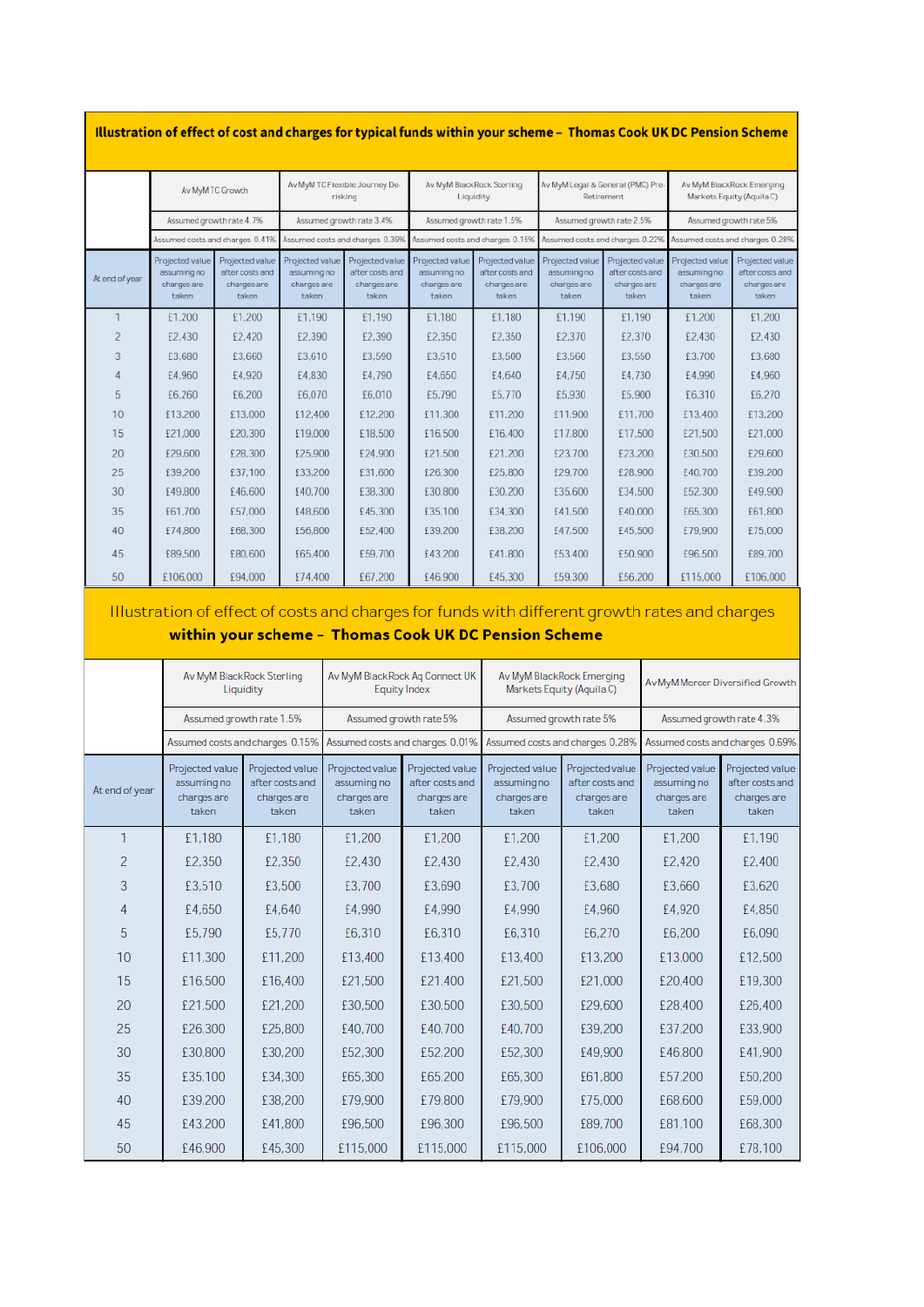| Illustration of effect of cost and charges for typical funds within your scheme - Thomas Cook UK DC Pension Scheme |                                                        |                                                            |                                                        |                                                            |                                                        |                                                            |                                                        |                                                            |                                                        |                                                            |
|--------------------------------------------------------------------------------------------------------------------|--------------------------------------------------------|------------------------------------------------------------|--------------------------------------------------------|------------------------------------------------------------|--------------------------------------------------------|------------------------------------------------------------|--------------------------------------------------------|------------------------------------------------------------|--------------------------------------------------------|------------------------------------------------------------|
|                                                                                                                    | Av MyM TC Growth                                       |                                                            | Av MyM TC Flexible Journey De-<br>risking              |                                                            | Av MyM BlackRock Sterling<br>Liquidity                 |                                                            | Av MyM Legal & General (PMC) Pre-<br>Retirement        |                                                            | Av MyM BlackRock Emerging<br>Markets Equity (Aquila C) |                                                            |
|                                                                                                                    | Assumed growth rate 4.7%                               |                                                            | Assumed growth rate 3.4%                               |                                                            | Assumed growth rate 1.5%                               |                                                            | Assumed growth rate 2.5%                               |                                                            | Assumed growth rate 5%                                 |                                                            |
|                                                                                                                    | Assumed costs and charges 0.41%                        |                                                            | Assumed costs and charges 0.39%                        |                                                            | Assumed costs and charges 0.15%                        |                                                            | Assumed costs and charges 0.22%                        |                                                            | Assumed costs and charges 0.28%                        |                                                            |
| At end of year                                                                                                     | Projected value<br>assuming no<br>charges are<br>taken | Projected value<br>after costs and<br>charges are<br>taken | Projected value<br>assuming no<br>charges are<br>taken | Projected value<br>after costs and<br>charges are<br>taken | Projected value<br>assuming no<br>charges are<br>taken | Projected value<br>after costs and<br>charges are<br>taken | Projected value<br>assuming no<br>charges are<br>taken | Projected value<br>after costs and<br>charges are<br>taken | Projected value<br>assuming no<br>charges are<br>taken | Projected value<br>after costs and<br>charges are<br>taken |
|                                                                                                                    | £1.200                                                 | £1.200                                                     | £1,190                                                 | £1,190                                                     | £1.180                                                 | £1,180                                                     | £1,190                                                 | £1,190                                                     | £1,200                                                 | £1.200                                                     |
| $\overline{2}$                                                                                                     | £2.430                                                 | £2,420                                                     | £2,390                                                 | £2,390                                                     | £2,350                                                 | £2,350                                                     | £2,370                                                 | £2,370                                                     | £2.430                                                 | £2,430                                                     |
| 3                                                                                                                  | £3.680                                                 | £3.660                                                     | £3,610                                                 | £3,590                                                     | £3,510                                                 | £3,500                                                     | £3,560                                                 | £3,550                                                     | £3.700                                                 | £3.680                                                     |
| 4                                                                                                                  | £4.960                                                 | £4.920                                                     | £4.830                                                 | £4.790                                                     | £4,650                                                 | £4,640                                                     | £4.750                                                 | £4.730                                                     | £4.990                                                 | £4.960                                                     |
| 5                                                                                                                  | £6.260                                                 | £6,200                                                     | £6,070                                                 | £6,010                                                     | £5,790                                                 | £5,770                                                     | £5,930                                                 | £5,900                                                     | £6,310                                                 | £6,270                                                     |
| 10                                                                                                                 | £13,200                                                | £13,000                                                    | £12,400                                                | £12,200                                                    | £11.300                                                | £11.200                                                    | £11.900                                                | £11.700                                                    | £13,400                                                | £13,200                                                    |
| 15                                                                                                                 | £21,000                                                | £20,300                                                    | £19,000                                                | £18,500                                                    | £16,500                                                | £16,400                                                    | £17.800                                                | £17.500                                                    | £21.500                                                | £21.000                                                    |
| 20                                                                                                                 | £29,600                                                | £28,300                                                    | £25,900                                                | £24.900                                                    | £21.500                                                | £21.200                                                    | £23.700                                                | £23,200                                                    | £30.500                                                | £29,600                                                    |
| 25                                                                                                                 | £39,200                                                | £37,100                                                    | £33,200                                                | £31,600                                                    | £26,300                                                | £25,800                                                    | £29,700                                                | £28,900                                                    | £40,700                                                | £39,200                                                    |
| 30                                                                                                                 | £49,800                                                | £46,600                                                    | £40.700                                                | £38,300                                                    | £30.800                                                | £30.200                                                    | £35.600                                                | £34.500                                                    | £52.300                                                | £49.900                                                    |
| 35                                                                                                                 | £61,700                                                | £57,000                                                    | £48,600                                                | £45,300                                                    | £35.100                                                | £34.300                                                    | £41.500                                                | £40,000                                                    | £65,300                                                | £61.800                                                    |
| 40                                                                                                                 | £74,800                                                | £68,300                                                    | £56,800                                                | £52,400                                                    | £39,200                                                | £38,200                                                    | £47,500                                                | £45,500                                                    | £79,900                                                | £75,000                                                    |
| 45                                                                                                                 | £89,500                                                | £80,600                                                    | £65,400                                                | £59,700                                                    | £43,200                                                | £41,800                                                    | £53,400                                                | £50,900                                                    | £96,500                                                | £89,700                                                    |
| 50                                                                                                                 | £106.000                                               | £94.000                                                    | £74,400                                                | £67.200                                                    | £46.900                                                | £45,300                                                    | £59.300                                                | £56.200                                                    | £115,000                                               | £106,000                                                   |

# Illustration of effect of costs and charges for funds with different growth rates and charges within your scheme - Thomas Cook UK DC Pension Scheme

|                | Av MyM BlackRock Sterling<br>Liquidity                 |                                                            | Av MyM BlackRock Aq Connect UK<br><b>Equity Index</b>  |                                                            | Av MyM BlackRock Emerging<br>Markets Equity (Aquila C) |                                                            | Av MyM Mercer Diversified Growth                       |                                                            |
|----------------|--------------------------------------------------------|------------------------------------------------------------|--------------------------------------------------------|------------------------------------------------------------|--------------------------------------------------------|------------------------------------------------------------|--------------------------------------------------------|------------------------------------------------------------|
|                | Assumed growth rate 1.5%                               |                                                            | Assumed growth rate 5%                                 |                                                            | Assumed growth rate 5%                                 |                                                            | Assumed growth rate 4.3%                               |                                                            |
|                | Assumed costs and charges 0.15%                        |                                                            | Assumed costs and charges 0.01%                        |                                                            | Assumed costs and charges 0.28%                        |                                                            | Assumed costs and charges 0.69%                        |                                                            |
| At end of year | Projected value<br>assuming no<br>charges are<br>taken | Projected value<br>after costs and<br>charges are<br>taken | Projected value<br>assuming no<br>charges are<br>taken | Projected value<br>after costs and<br>charges are<br>taken | Projected value<br>assuming no<br>charges are<br>taken | Projected value<br>after costs and<br>charges are<br>taken | Projected value<br>assuming no<br>charges are<br>taken | Projected value<br>after costs and<br>charges are<br>taken |
| 1              | £1,180                                                 | £1,180                                                     | £1,200                                                 | £1,200                                                     | £1,200                                                 | £1,200                                                     | £1,200                                                 | £1,190                                                     |
| 2              | £2,350                                                 | £2,350                                                     | £2,430                                                 | £2,430                                                     | £2,430                                                 | £2,430                                                     | £2,420                                                 | £2,400                                                     |
| 3              | £3.510                                                 | £3,500                                                     | £3,700                                                 | £3.690                                                     | £3,700                                                 | £3,680                                                     | £3,660                                                 | £3,620                                                     |
| 4              | £4,650                                                 | £4.640                                                     | £4.990                                                 | £4.990                                                     | £4,990                                                 | £4,960                                                     | £4,920                                                 | £4,850                                                     |
| 5              | £5,790                                                 | £5,770                                                     | £6,310                                                 | £6,310                                                     | £6,310                                                 | £6,270                                                     | £6,200                                                 | £6,090                                                     |
| 10             | £11,300                                                | £11,200                                                    | £13,400                                                | £13,400                                                    | £13,400                                                | £13,200                                                    | £13,000                                                | £12,500                                                    |
| 15             | £16,500                                                | £16,400                                                    | £21,500                                                | £21,400                                                    | £21,500                                                | £21.000                                                    | £20,400                                                | £19,300                                                    |
| 20             | £21,500                                                | £21,200                                                    | £30.500                                                | £30.500                                                    | £30.500                                                | £29,600                                                    | £28,400                                                | £26,400                                                    |
| 25             | £26.300                                                | £25,800                                                    | £40.700                                                | £40.700                                                    | £40.700                                                | £39,200                                                    | £37.200                                                | £33.900                                                    |
| 30             | £30,800                                                | £30,200                                                    | £52,300                                                | £52,200                                                    | £52,300                                                | £49,900                                                    | £46,800                                                | £41.900                                                    |
| 35             | £35.100                                                | £34,300                                                    | £65,300                                                | £65.200                                                    | £65,300                                                | £61,800                                                    | £57.200                                                | £50,200                                                    |
| 40             | £39,200                                                | £38,200                                                    | £79,900                                                | £79,800                                                    | £79,900                                                | £75,000                                                    | £68,600                                                | £59,000                                                    |
| 45             | £43,200                                                | £41,800                                                    | £96,500                                                | £96,300                                                    | £96,500                                                | £89,700                                                    | £81,100                                                | £68,300                                                    |
| 50             | £46,900                                                | £45,300                                                    | £115,000                                               | £115,000                                                   | £115,000                                               | £106,000                                                   | £94,700                                                | £78,100                                                    |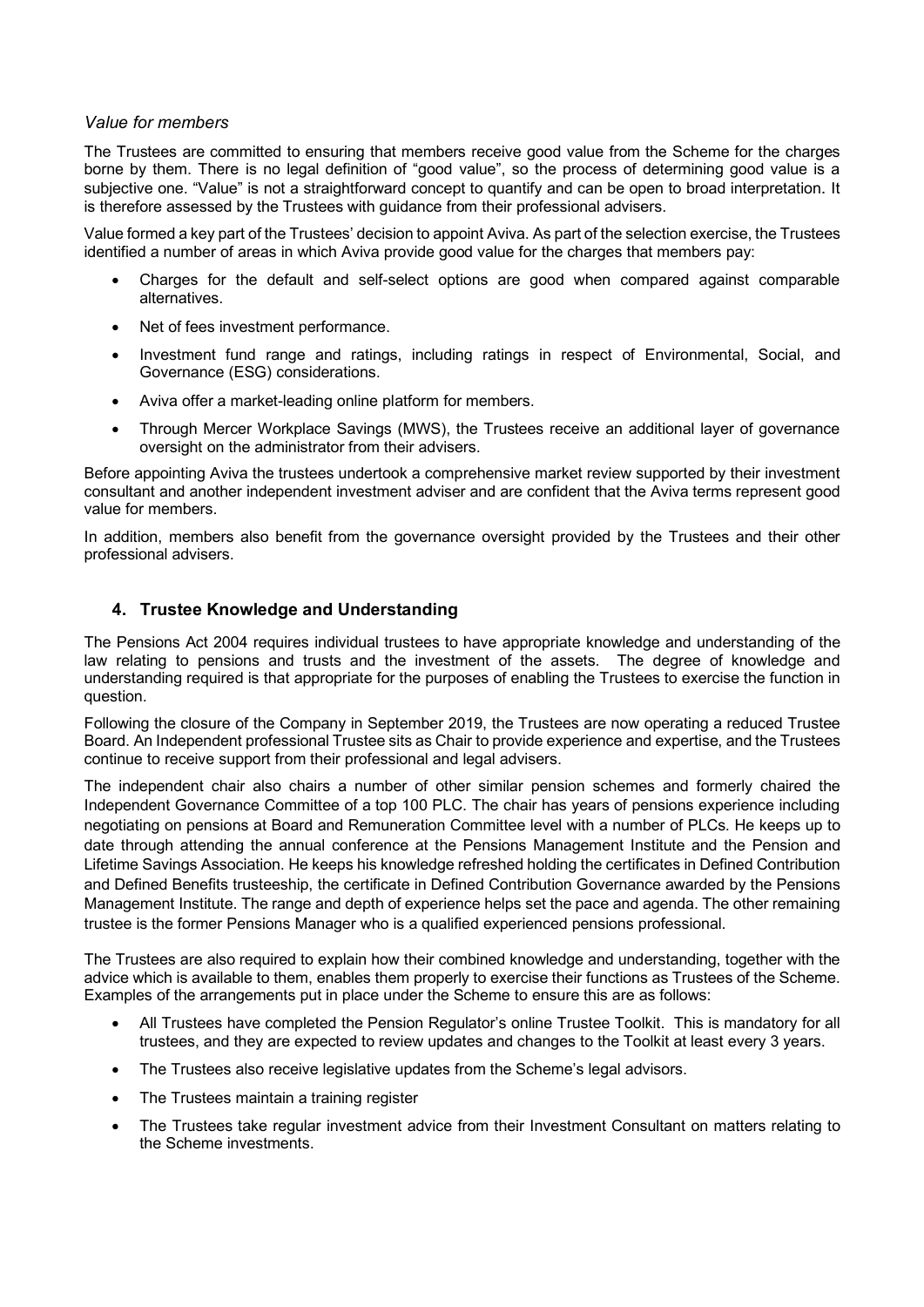#### *Value for members*

The Trustees are committed to ensuring that members receive good value from the Scheme for the charges borne by them. There is no legal definition of "good value", so the process of determining good value is a subjective one. "Value" is not a straightforward concept to quantify and can be open to broad interpretation. It is therefore assessed by the Trustees with guidance from their professional advisers.

Value formed a key part of the Trustees' decision to appoint Aviva. As part of the selection exercise, the Trustees identified a number of areas in which Aviva provide good value for the charges that members pay:

- Charges for the default and self-select options are good when compared against comparable alternatives.
- Net of fees investment performance.
- Investment fund range and ratings, including ratings in respect of Environmental, Social, and Governance (ESG) considerations.
- Aviva offer a market-leading online platform for members.
- Through Mercer Workplace Savings (MWS), the Trustees receive an additional layer of governance oversight on the administrator from their advisers.

Before appointing Aviva the trustees undertook a comprehensive market review supported by their investment consultant and another independent investment adviser and are confident that the Aviva terms represent good value for members.

In addition, members also benefit from the governance oversight provided by the Trustees and their other professional advisers.

#### **4. Trustee Knowledge and Understanding**

The Pensions Act 2004 requires individual trustees to have appropriate knowledge and understanding of the law relating to pensions and trusts and the investment of the assets. The degree of knowledge and understanding required is that appropriate for the purposes of enabling the Trustees to exercise the function in question.

Following the closure of the Company in September 2019, the Trustees are now operating a reduced Trustee Board. An Independent professional Trustee sits as Chair to provide experience and expertise, and the Trustees continue to receive support from their professional and legal advisers.

The independent chair also chairs a number of other similar pension schemes and formerly chaired the Independent Governance Committee of a top 100 PLC. The chair has years of pensions experience including negotiating on pensions at Board and Remuneration Committee level with a number of PLCs. He keeps up to date through attending the annual conference at the Pensions Management Institute and the Pension and Lifetime Savings Association. He keeps his knowledge refreshed holding the certificates in Defined Contribution and Defined Benefits trusteeship, the certificate in Defined Contribution Governance awarded by the Pensions Management Institute. The range and depth of experience helps set the pace and agenda. The other remaining trustee is the former Pensions Manager who is a qualified experienced pensions professional.

The Trustees are also required to explain how their combined knowledge and understanding, together with the advice which is available to them, enables them properly to exercise their functions as Trustees of the Scheme. Examples of the arrangements put in place under the Scheme to ensure this are as follows:

- All Trustees have completed the Pension Regulator's online Trustee Toolkit. This is mandatory for all trustees, and they are expected to review updates and changes to the Toolkit at least every 3 years.
- The Trustees also receive legislative updates from the Scheme's legal advisors.
- The Trustees maintain a training register
- The Trustees take regular investment advice from their Investment Consultant on matters relating to the Scheme investments.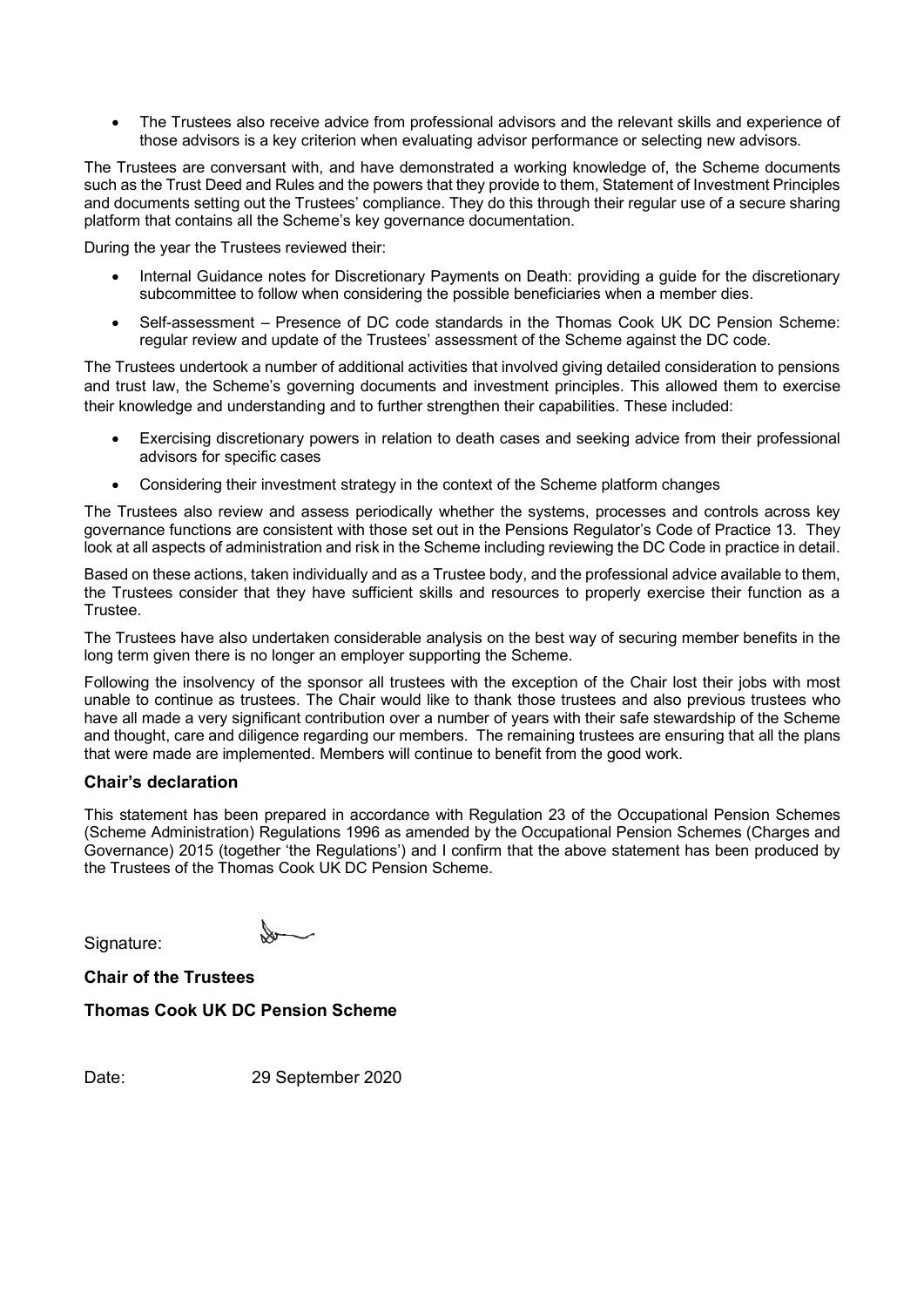• The Trustees also receive advice from professional advisors and the relevant skills and experience of those advisors is a key criterion when evaluating advisor performance or selecting new advisors.

The Trustees are conversant with, and have demonstrated a working knowledge of, the Scheme documents such as the Trust Deed and Rules and the powers that they provide to them, Statement of Investment Principles and documents setting out the Trustees' compliance. They do this through their regular use of a secure sharing platform that contains all the Scheme's key governance documentation.

During the year the Trustees reviewed their:

- Internal Guidance notes for Discretionary Payments on Death: providing a guide for the discretionary subcommittee to follow when considering the possible beneficiaries when a member dies.
- Self-assessment Presence of DC code standards in the Thomas Cook UK DC Pension Scheme: regular review and update of the Trustees' assessment of the Scheme against the DC code.

The Trustees undertook a number of additional activities that involved giving detailed consideration to pensions and trust law, the Scheme's governing documents and investment principles. This allowed them to exercise their knowledge and understanding and to further strengthen their capabilities. These included:

- Exercising discretionary powers in relation to death cases and seeking advice from their professional advisors for specific cases
- Considering their investment strategy in the context of the Scheme platform changes

The Trustees also review and assess periodically whether the systems, processes and controls across key governance functions are consistent with those set out in the Pensions Regulator's Code of Practice 13. They look at all aspects of administration and risk in the Scheme including reviewing the DC Code in practice in detail.

Based on these actions, taken individually and as a Trustee body, and the professional advice available to them, the Trustees consider that they have sufficient skills and resources to properly exercise their function as a Trustee.

The Trustees have also undertaken considerable analysis on the best way of securing member benefits in the long term given there is no longer an employer supporting the Scheme.

Following the insolvency of the sponsor all trustees with the exception of the Chair lost their jobs with most unable to continue as trustees. The Chair would like to thank those trustees and also previous trustees who have all made a very significant contribution over a number of years with their safe stewardship of the Scheme and thought, care and diligence regarding our members. The remaining trustees are ensuring that all the plans that were made are implemented. Members will continue to benefit from the good work.

#### **Chair's declaration**

This statement has been prepared in accordance with Regulation 23 of the Occupational Pension Schemes (Scheme Administration) Regulations 1996 as amended by the Occupational Pension Schemes (Charges and Governance) 2015 (together 'the Regulations') and I confirm that the above statement has been produced by the Trustees of the Thomas Cook UK DC Pension Scheme.

Signature:

**Chair of the Trustees**

**Thomas Cook UK DC Pension Scheme**

Date: 29 September 2020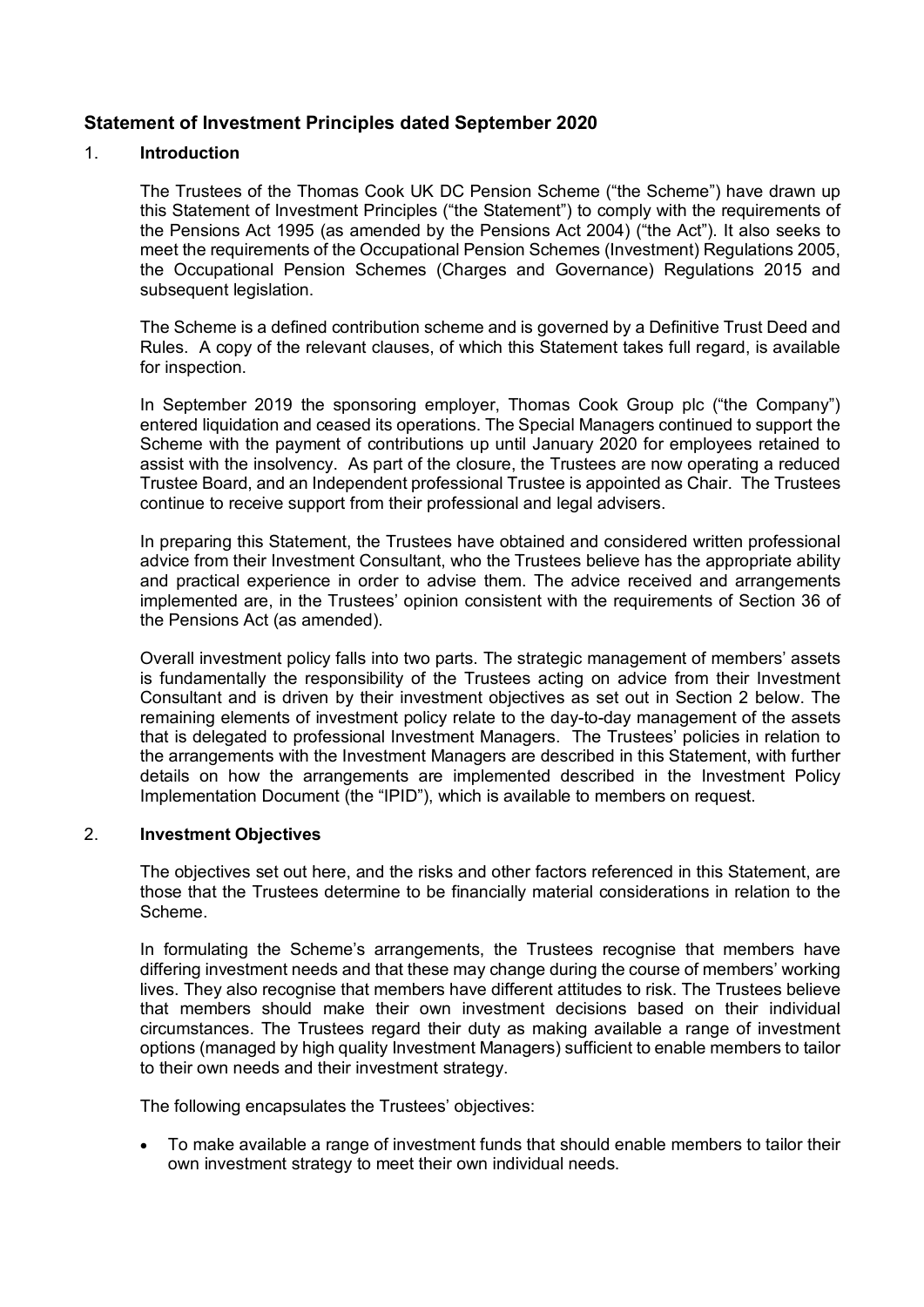## **Statement of Investment Principles dated September 2020**

### 1. **Introduction**

The Trustees of the Thomas Cook UK DC Pension Scheme ("the Scheme") have drawn up this Statement of Investment Principles ("the Statement") to comply with the requirements of the Pensions Act 1995 (as amended by the Pensions Act 2004) ("the Act"). It also seeks to meet the requirements of the Occupational Pension Schemes (Investment) Regulations 2005, the Occupational Pension Schemes (Charges and Governance) Regulations 2015 and subsequent legislation.

The Scheme is a defined contribution scheme and is governed by a Definitive Trust Deed and Rules. A copy of the relevant clauses, of which this Statement takes full regard, is available for inspection.

In September 2019 the sponsoring employer, Thomas Cook Group plc ("the Company") entered liquidation and ceased its operations. The Special Managers continued to support the Scheme with the payment of contributions up until January 2020 for employees retained to assist with the insolvency. As part of the closure, the Trustees are now operating a reduced Trustee Board, and an Independent professional Trustee is appointed as Chair. The Trustees continue to receive support from their professional and legal advisers.

In preparing this Statement, the Trustees have obtained and considered written professional advice from their Investment Consultant, who the Trustees believe has the appropriate ability and practical experience in order to advise them. The advice received and arrangements implemented are, in the Trustees' opinion consistent with the requirements of Section 36 of the Pensions Act (as amended).

Overall investment policy falls into two parts. The strategic management of members' assets is fundamentally the responsibility of the Trustees acting on advice from their Investment Consultant and is driven by their investment objectives as set out in Section 2 below. The remaining elements of investment policy relate to the day-to-day management of the assets that is delegated to professional Investment Managers. The Trustees' policies in relation to the arrangements with the Investment Managers are described in this Statement, with further details on how the arrangements are implemented described in the Investment Policy Implementation Document (the "IPID"), which is available to members on request.

#### 2. **Investment Objectives**

The objectives set out here, and the risks and other factors referenced in this Statement, are those that the Trustees determine to be financially material considerations in relation to the Scheme.

In formulating the Scheme's arrangements, the Trustees recognise that members have differing investment needs and that these may change during the course of members' working lives. They also recognise that members have different attitudes to risk. The Trustees believe that members should make their own investment decisions based on their individual circumstances. The Trustees regard their duty as making available a range of investment options (managed by high quality Investment Managers) sufficient to enable members to tailor to their own needs and their investment strategy.

The following encapsulates the Trustees' objectives:

• To make available a range of investment funds that should enable members to tailor their own investment strategy to meet their own individual needs.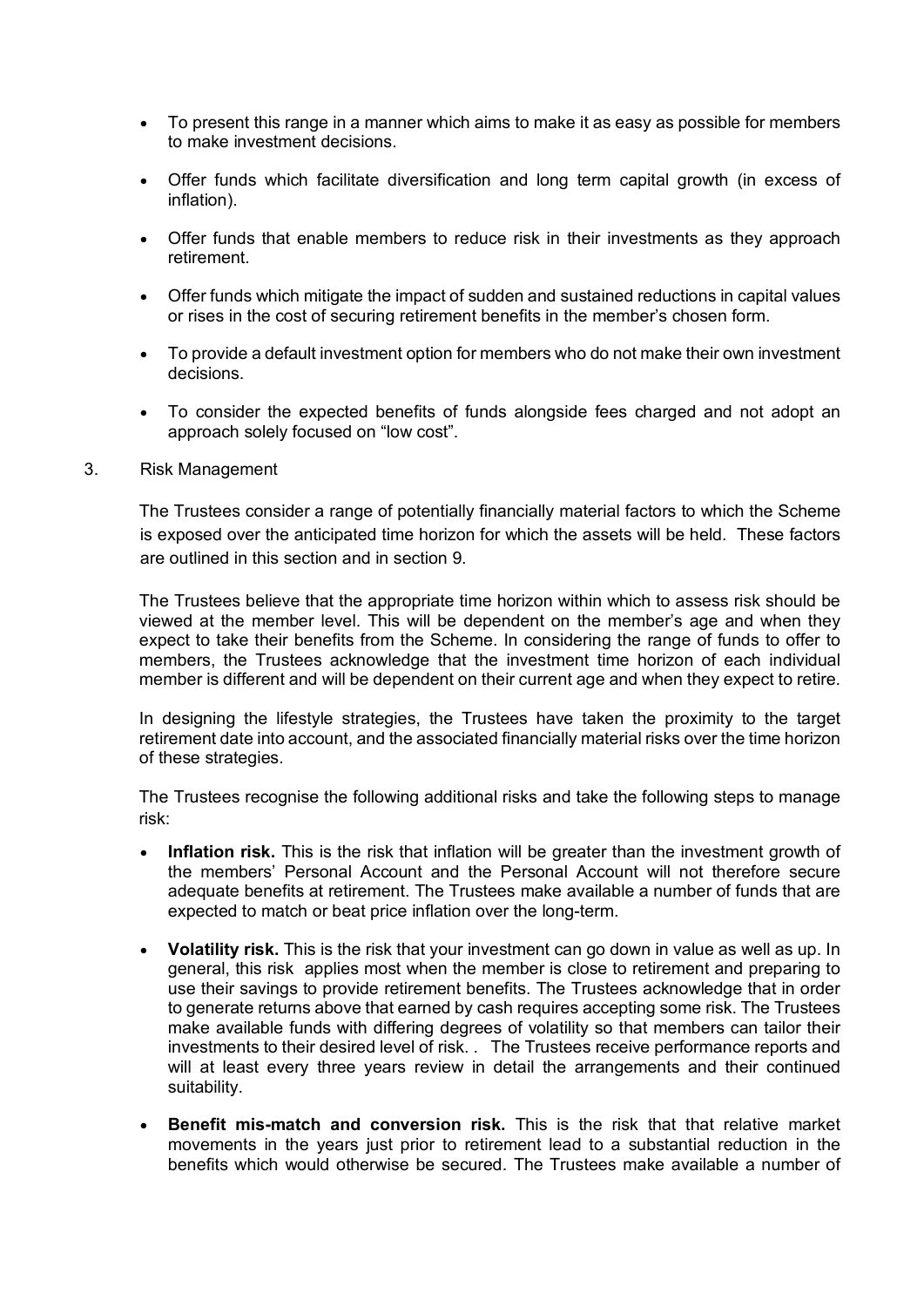- To present this range in a manner which aims to make it as easy as possible for members to make investment decisions.
- Offer funds which facilitate diversification and long term capital growth (in excess of inflation).
- Offer funds that enable members to reduce risk in their investments as they approach retirement.
- Offer funds which mitigate the impact of sudden and sustained reductions in capital values or rises in the cost of securing retirement benefits in the member's chosen form.
- To provide a default investment option for members who do not make their own investment decisions.
- To consider the expected benefits of funds alongside fees charged and not adopt an approach solely focused on "low cost".

#### 3. Risk Management

The Trustees consider a range of potentially financially material factors to which the Scheme is exposed over the anticipated time horizon for which the assets will be held. These factors are outlined in this section and in section 9.

The Trustees believe that the appropriate time horizon within which to assess risk should be viewed at the member level. This will be dependent on the member's age and when they expect to take their benefits from the Scheme. In considering the range of funds to offer to members, the Trustees acknowledge that the investment time horizon of each individual member is different and will be dependent on their current age and when they expect to retire.

In designing the lifestyle strategies, the Trustees have taken the proximity to the target retirement date into account, and the associated financially material risks over the time horizon of these strategies.

The Trustees recognise the following additional risks and take the following steps to manage risk:

- **Inflation risk.** This is the risk that inflation will be greater than the investment growth of the members' Personal Account and the Personal Account will not therefore secure adequate benefits at retirement. The Trustees make available a number of funds that are expected to match or beat price inflation over the long-term.
- **Volatility risk.** This is the risk that your investment can go down in value as well as up. In general, this risk applies most when the member is close to retirement and preparing to use their savings to provide retirement benefits. The Trustees acknowledge that in order to generate returns above that earned by cash requires accepting some risk. The Trustees make available funds with differing degrees of volatility so that members can tailor their investments to their desired level of risk. . The Trustees receive performance reports and will at least every three years review in detail the arrangements and their continued suitability.
- **Benefit mis-match and conversion risk.** This is the risk that that relative market movements in the years just prior to retirement lead to a substantial reduction in the benefits which would otherwise be secured. The Trustees make available a number of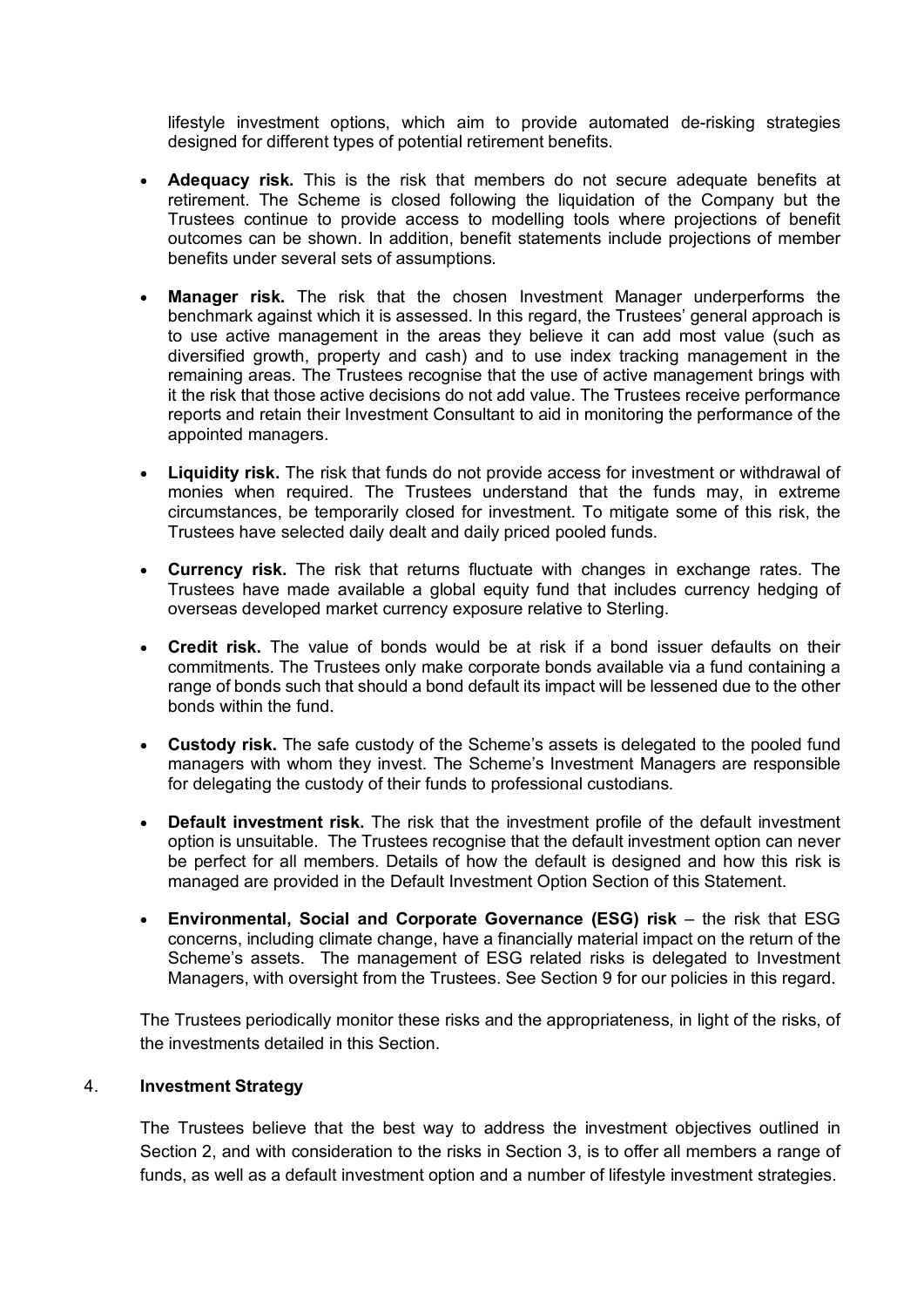lifestyle investment options, which aim to provide automated de-risking strategies designed for different types of potential retirement benefits.

- **Adequacy risk.** This is the risk that members do not secure adequate benefits at retirement. The Scheme is closed following the liquidation of the Company but the Trustees continue to provide access to modelling tools where projections of benefit outcomes can be shown. In addition, benefit statements include projections of member benefits under several sets of assumptions.
- **Manager risk.** The risk that the chosen Investment Manager underperforms the benchmark against which it is assessed. In this regard, the Trustees' general approach is to use active management in the areas they believe it can add most value (such as diversified growth, property and cash) and to use index tracking management in the remaining areas. The Trustees recognise that the use of active management brings with it the risk that those active decisions do not add value. The Trustees receive performance reports and retain their Investment Consultant to aid in monitoring the performance of the appointed managers.
- **Liquidity risk.** The risk that funds do not provide access for investment or withdrawal of monies when required. The Trustees understand that the funds may, in extreme circumstances, be temporarily closed for investment. To mitigate some of this risk, the Trustees have selected daily dealt and daily priced pooled funds.
- **Currency risk.** The risk that returns fluctuate with changes in exchange rates. The Trustees have made available a global equity fund that includes currency hedging of overseas developed market currency exposure relative to Sterling.
- **Credit risk.** The value of bonds would be at risk if a bond issuer defaults on their commitments. The Trustees only make corporate bonds available via a fund containing a range of bonds such that should a bond default its impact will be lessened due to the other bonds within the fund.
- **Custody risk.** The safe custody of the Scheme's assets is delegated to the pooled fund managers with whom they invest. The Scheme's Investment Managers are responsible for delegating the custody of their funds to professional custodians.
- **Default investment risk.** The risk that the investment profile of the default investment option is unsuitable. The Trustees recognise that the default investment option can never be perfect for all members. Details of how the default is designed and how this risk is managed are provided in the Default Investment Option Section of this Statement.
- **Environmental, Social and Corporate Governance (ESG) risk** the risk that ESG concerns, including climate change, have a financially material impact on the return of the Scheme's assets. The management of ESG related risks is delegated to Investment Managers, with oversight from the Trustees. See Section 9 for our policies in this regard.

The Trustees periodically monitor these risks and the appropriateness, in light of the risks, of the investments detailed in this Section.

### 4. **Investment Strategy**

The Trustees believe that the best way to address the investment objectives outlined in Section 2, and with consideration to the risks in Section 3, is to offer all members a range of funds, as well as a default investment option and a number of lifestyle investment strategies.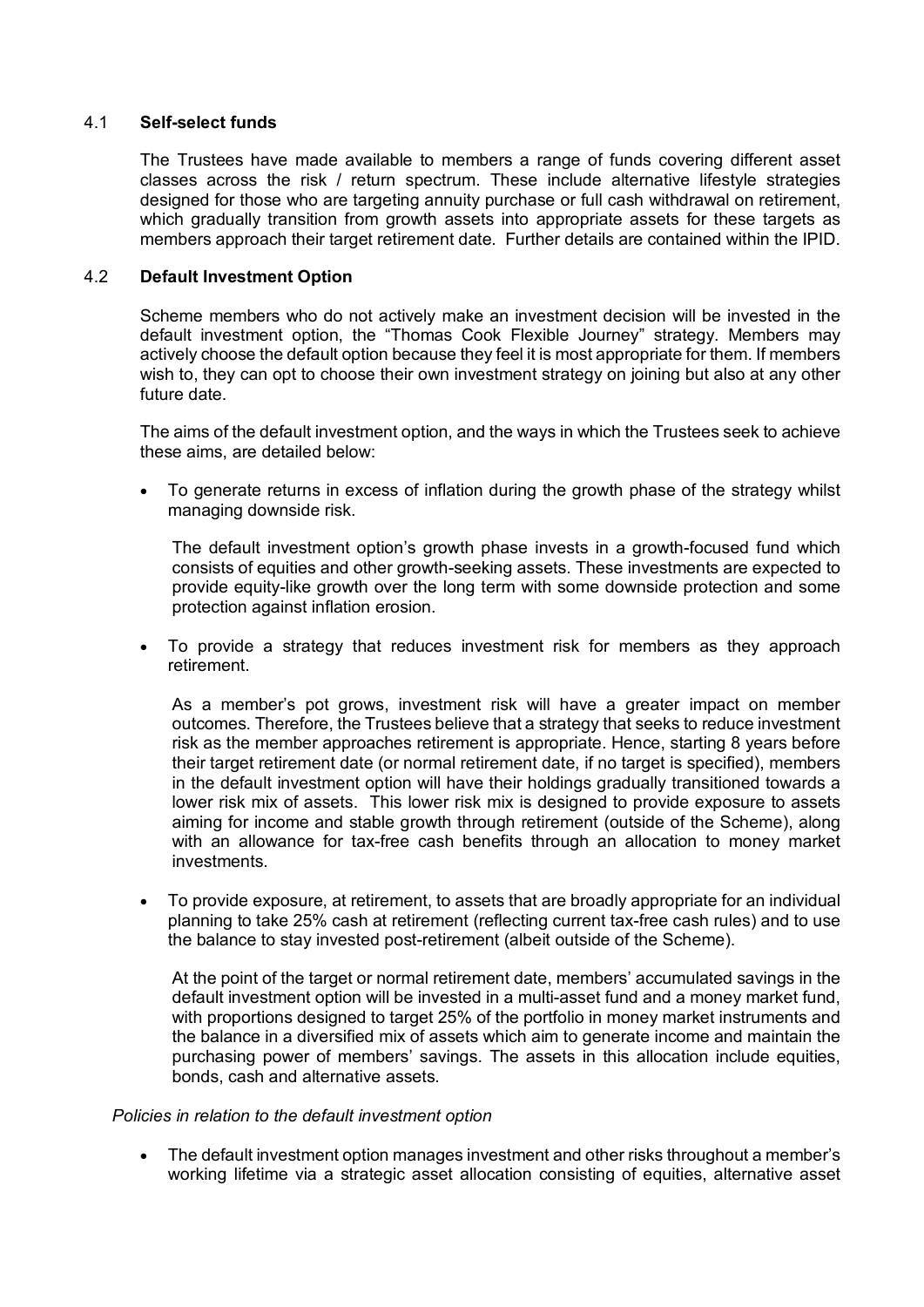#### 4.1 **Self-select funds**

The Trustees have made available to members a range of funds covering different asset classes across the risk / return spectrum. These include alternative lifestyle strategies designed for those who are targeting annuity purchase or full cash withdrawal on retirement, which gradually transition from growth assets into appropriate assets for these targets as members approach their target retirement date. Further details are contained within the IPID.

#### 4.2 **Default Investment Option**

Scheme members who do not actively make an investment decision will be invested in the default investment option, the "Thomas Cook Flexible Journey" strategy. Members may actively choose the default option because they feel it is most appropriate for them. If members wish to, they can opt to choose their own investment strategy on joining but also at any other future date.

The aims of the default investment option, and the ways in which the Trustees seek to achieve these aims, are detailed below:

• To generate returns in excess of inflation during the growth phase of the strategy whilst managing downside risk.

The default investment option's growth phase invests in a growth-focused fund which consists of equities and other growth-seeking assets. These investments are expected to provide equity-like growth over the long term with some downside protection and some protection against inflation erosion.

• To provide a strategy that reduces investment risk for members as they approach retirement.

As a member's pot grows, investment risk will have a greater impact on member outcomes. Therefore, the Trustees believe that a strategy that seeks to reduce investment risk as the member approaches retirement is appropriate. Hence, starting 8 years before their target retirement date (or normal retirement date, if no target is specified), members in the default investment option will have their holdings gradually transitioned towards a lower risk mix of assets. This lower risk mix is designed to provide exposure to assets aiming for income and stable growth through retirement (outside of the Scheme), along with an allowance for tax-free cash benefits through an allocation to money market investments.

• To provide exposure, at retirement, to assets that are broadly appropriate for an individual planning to take 25% cash at retirement (reflecting current tax-free cash rules) and to use the balance to stay invested post-retirement (albeit outside of the Scheme).

At the point of the target or normal retirement date, members' accumulated savings in the default investment option will be invested in a multi-asset fund and a money market fund, with proportions designed to target 25% of the portfolio in money market instruments and the balance in a diversified mix of assets which aim to generate income and maintain the purchasing power of members' savings. The assets in this allocation include equities, bonds, cash and alternative assets.

#### *Policies in relation to the default investment option*

• The default investment option manages investment and other risks throughout a member's working lifetime via a strategic asset allocation consisting of equities, alternative asset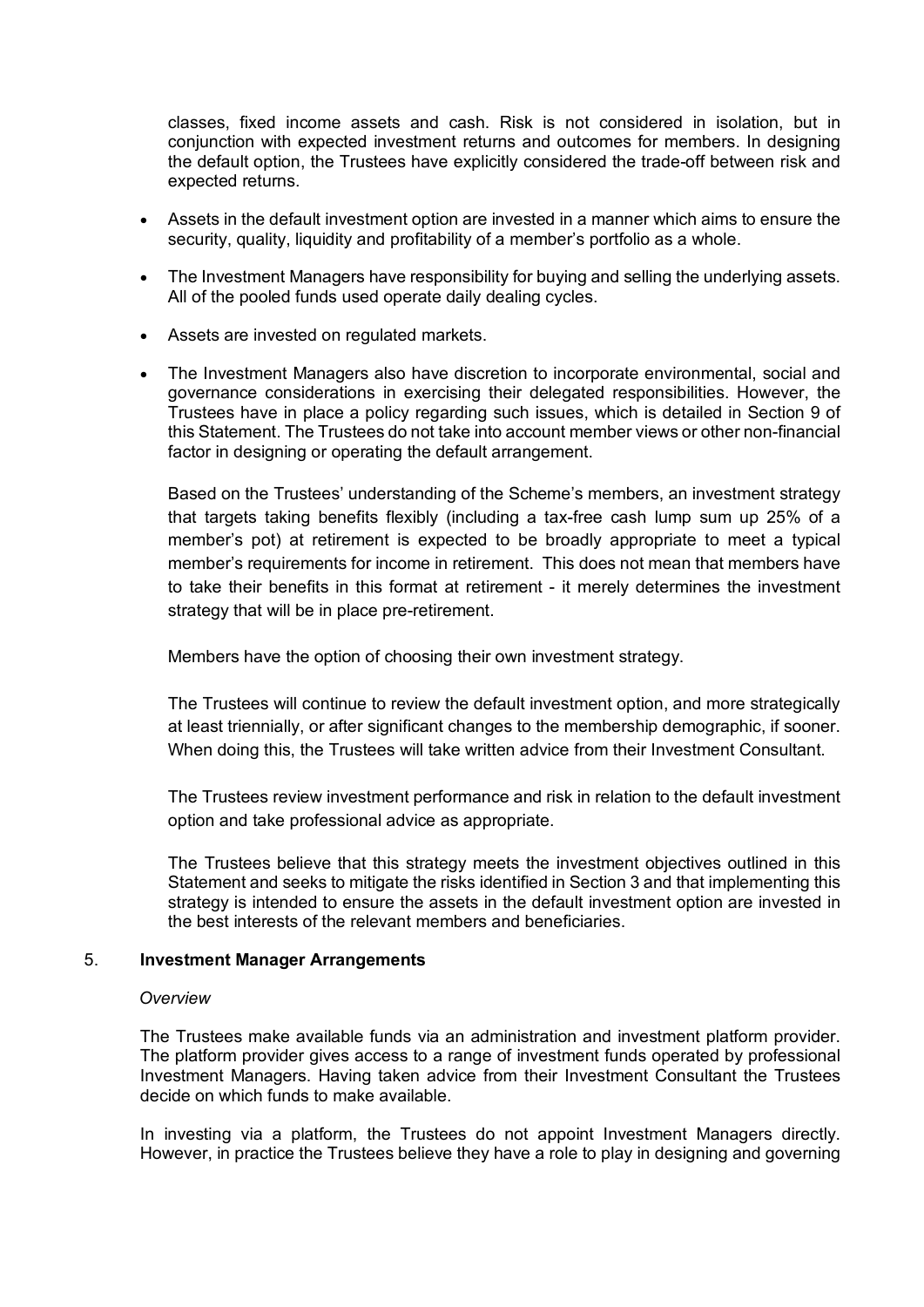classes, fixed income assets and cash. Risk is not considered in isolation, but in conjunction with expected investment returns and outcomes for members. In designing the default option, the Trustees have explicitly considered the trade-off between risk and expected returns.

- Assets in the default investment option are invested in a manner which aims to ensure the security, quality, liquidity and profitability of a member's portfolio as a whole.
- The Investment Managers have responsibility for buying and selling the underlying assets. All of the pooled funds used operate daily dealing cycles.
- Assets are invested on regulated markets.
- The Investment Managers also have discretion to incorporate environmental, social and governance considerations in exercising their delegated responsibilities. However, the Trustees have in place a policy regarding such issues, which is detailed in Section 9 of this Statement. The Trustees do not take into account member views or other non-financial factor in designing or operating the default arrangement.

Based on the Trustees' understanding of the Scheme's members, an investment strategy that targets taking benefits flexibly (including a tax-free cash lump sum up 25% of a member's pot) at retirement is expected to be broadly appropriate to meet a typical member's requirements for income in retirement. This does not mean that members have to take their benefits in this format at retirement - it merely determines the investment strategy that will be in place pre-retirement.

Members have the option of choosing their own investment strategy.

The Trustees will continue to review the default investment option, and more strategically at least triennially, or after significant changes to the membership demographic, if sooner. When doing this, the Trustees will take written advice from their Investment Consultant.

The Trustees review investment performance and risk in relation to the default investment option and take professional advice as appropriate.

The Trustees believe that this strategy meets the investment objectives outlined in this Statement and seeks to mitigate the risks identified in Section 3 and that implementing this strategy is intended to ensure the assets in the default investment option are invested in the best interests of the relevant members and beneficiaries.

### 5. **Investment Manager Arrangements**

#### *Overview*

The Trustees make available funds via an administration and investment platform provider. The platform provider gives access to a range of investment funds operated by professional Investment Managers. Having taken advice from their Investment Consultant the Trustees decide on which funds to make available.

In investing via a platform, the Trustees do not appoint Investment Managers directly. However, in practice the Trustees believe they have a role to play in designing and governing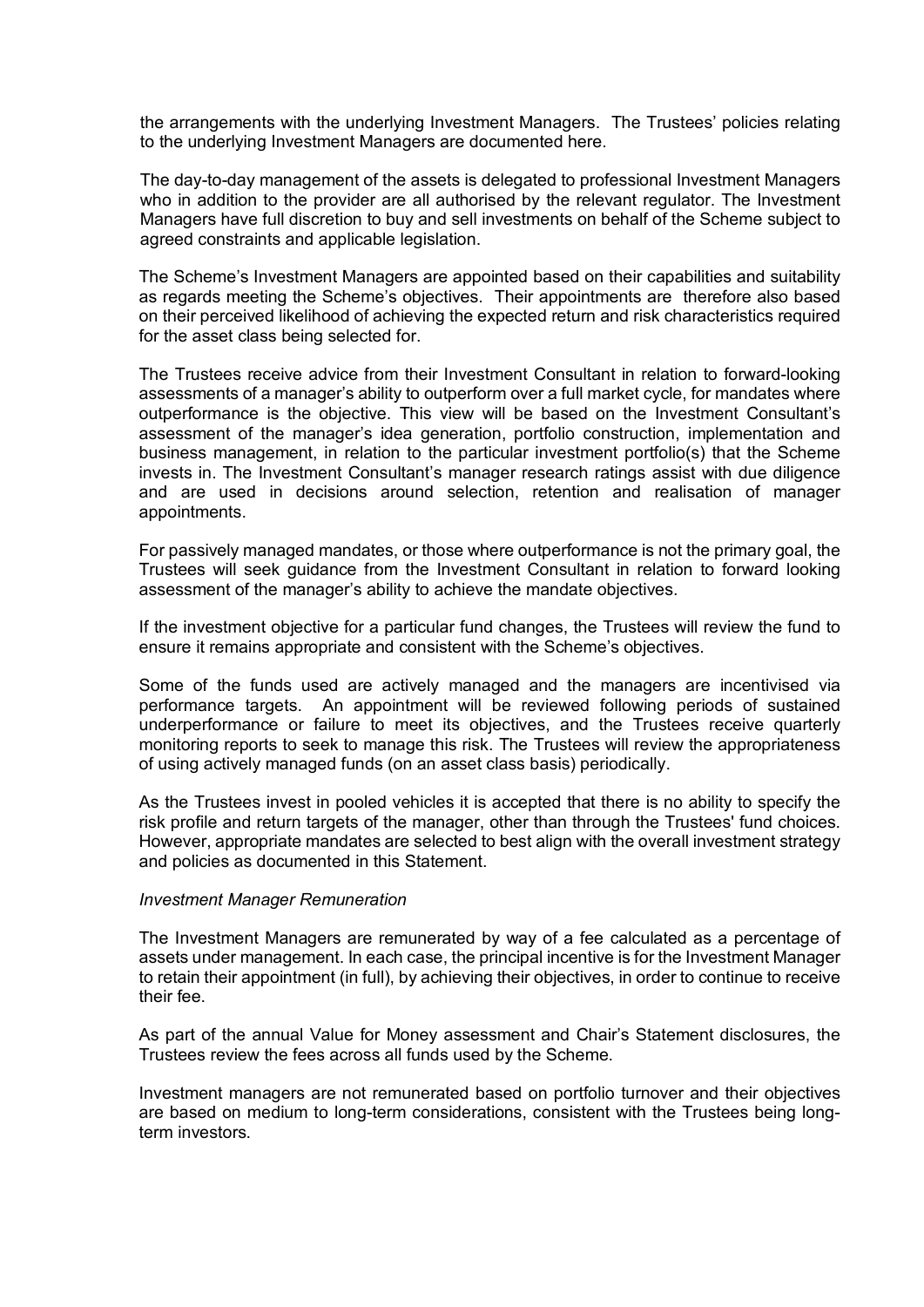the arrangements with the underlying Investment Managers. The Trustees' policies relating to the underlying Investment Managers are documented here.

The day-to-day management of the assets is delegated to professional Investment Managers who in addition to the provider are all authorised by the relevant regulator. The Investment Managers have full discretion to buy and sell investments on behalf of the Scheme subject to agreed constraints and applicable legislation.

The Scheme's Investment Managers are appointed based on their capabilities and suitability as regards meeting the Scheme's objectives. Their appointments are therefore also based on their perceived likelihood of achieving the expected return and risk characteristics required for the asset class being selected for.

The Trustees receive advice from their Investment Consultant in relation to forward-looking assessments of a manager's ability to outperform over a full market cycle, for mandates where outperformance is the objective. This view will be based on the Investment Consultant's assessment of the manager's idea generation, portfolio construction, implementation and business management, in relation to the particular investment portfolio(s) that the Scheme invests in. The Investment Consultant's manager research ratings assist with due diligence and are used in decisions around selection, retention and realisation of manager appointments.

For passively managed mandates, or those where outperformance is not the primary goal, the Trustees will seek guidance from the Investment Consultant in relation to forward looking assessment of the manager's ability to achieve the mandate objectives.

If the investment objective for a particular fund changes, the Trustees will review the fund to ensure it remains appropriate and consistent with the Scheme's objectives.

Some of the funds used are actively managed and the managers are incentivised via performance targets. An appointment will be reviewed following periods of sustained underperformance or failure to meet its objectives, and the Trustees receive quarterly monitoring reports to seek to manage this risk. The Trustees will review the appropriateness of using actively managed funds (on an asset class basis) periodically.

As the Trustees invest in pooled vehicles it is accepted that there is no ability to specify the risk profile and return targets of the manager, other than through the Trustees' fund choices. However, appropriate mandates are selected to best align with the overall investment strategy and policies as documented in this Statement.

#### *Investment Manager Remuneration*

The Investment Managers are remunerated by way of a fee calculated as a percentage of assets under management. In each case, the principal incentive is for the Investment Manager to retain their appointment (in full), by achieving their objectives, in order to continue to receive their fee.

As part of the annual Value for Money assessment and Chair's Statement disclosures, the Trustees review the fees across all funds used by the Scheme.

Investment managers are not remunerated based on portfolio turnover and their objectives are based on medium to long-term considerations, consistent with the Trustees being longterm investors.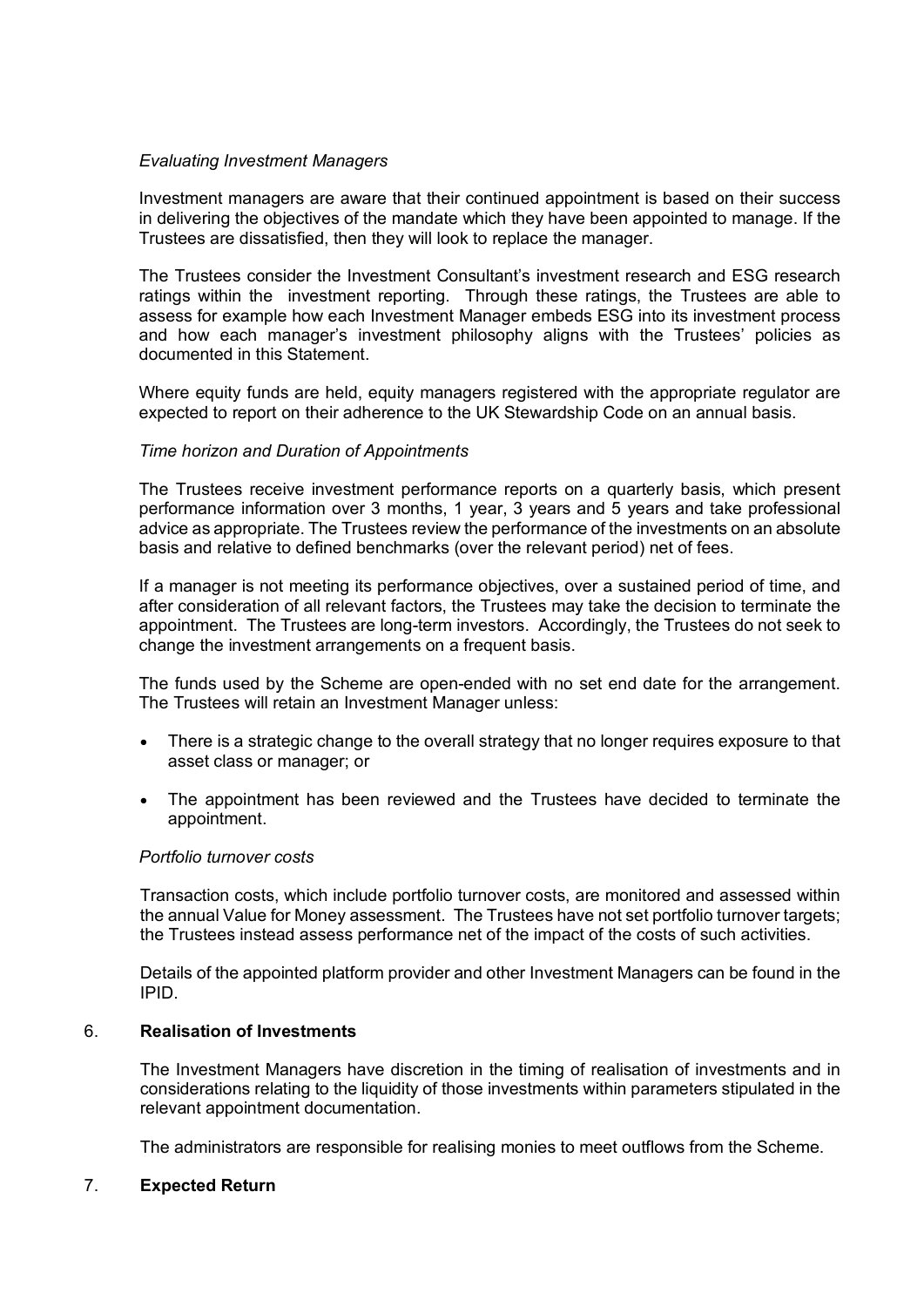#### *Evaluating Investment Managers*

Investment managers are aware that their continued appointment is based on their success in delivering the objectives of the mandate which they have been appointed to manage. If the Trustees are dissatisfied, then they will look to replace the manager.

The Trustees consider the Investment Consultant's investment research and ESG research ratings within the investment reporting. Through these ratings, the Trustees are able to assess for example how each Investment Manager embeds ESG into its investment process and how each manager's investment philosophy aligns with the Trustees' policies as documented in this Statement.

Where equity funds are held, equity managers registered with the appropriate regulator are expected to report on their adherence to the UK Stewardship Code on an annual basis.

#### *Time horizon and Duration of Appointments*

The Trustees receive investment performance reports on a quarterly basis, which present performance information over 3 months, 1 year, 3 years and 5 years and take professional advice as appropriate. The Trustees review the performance of the investments on an absolute basis and relative to defined benchmarks (over the relevant period) net of fees.

If a manager is not meeting its performance objectives, over a sustained period of time, and after consideration of all relevant factors, the Trustees may take the decision to terminate the appointment. The Trustees are long-term investors. Accordingly, the Trustees do not seek to change the investment arrangements on a frequent basis.

The funds used by the Scheme are open-ended with no set end date for the arrangement. The Trustees will retain an Investment Manager unless:

- There is a strategic change to the overall strategy that no longer requires exposure to that asset class or manager; or
- The appointment has been reviewed and the Trustees have decided to terminate the appointment.

#### *Portfolio turnover costs*

Transaction costs, which include portfolio turnover costs, are monitored and assessed within the annual Value for Money assessment. The Trustees have not set portfolio turnover targets; the Trustees instead assess performance net of the impact of the costs of such activities.

Details of the appointed platform provider and other Investment Managers can be found in the IPID.

#### 6. **Realisation of Investments**

The Investment Managers have discretion in the timing of realisation of investments and in considerations relating to the liquidity of those investments within parameters stipulated in the relevant appointment documentation.

The administrators are responsible for realising monies to meet outflows from the Scheme.

### 7. **Expected Return**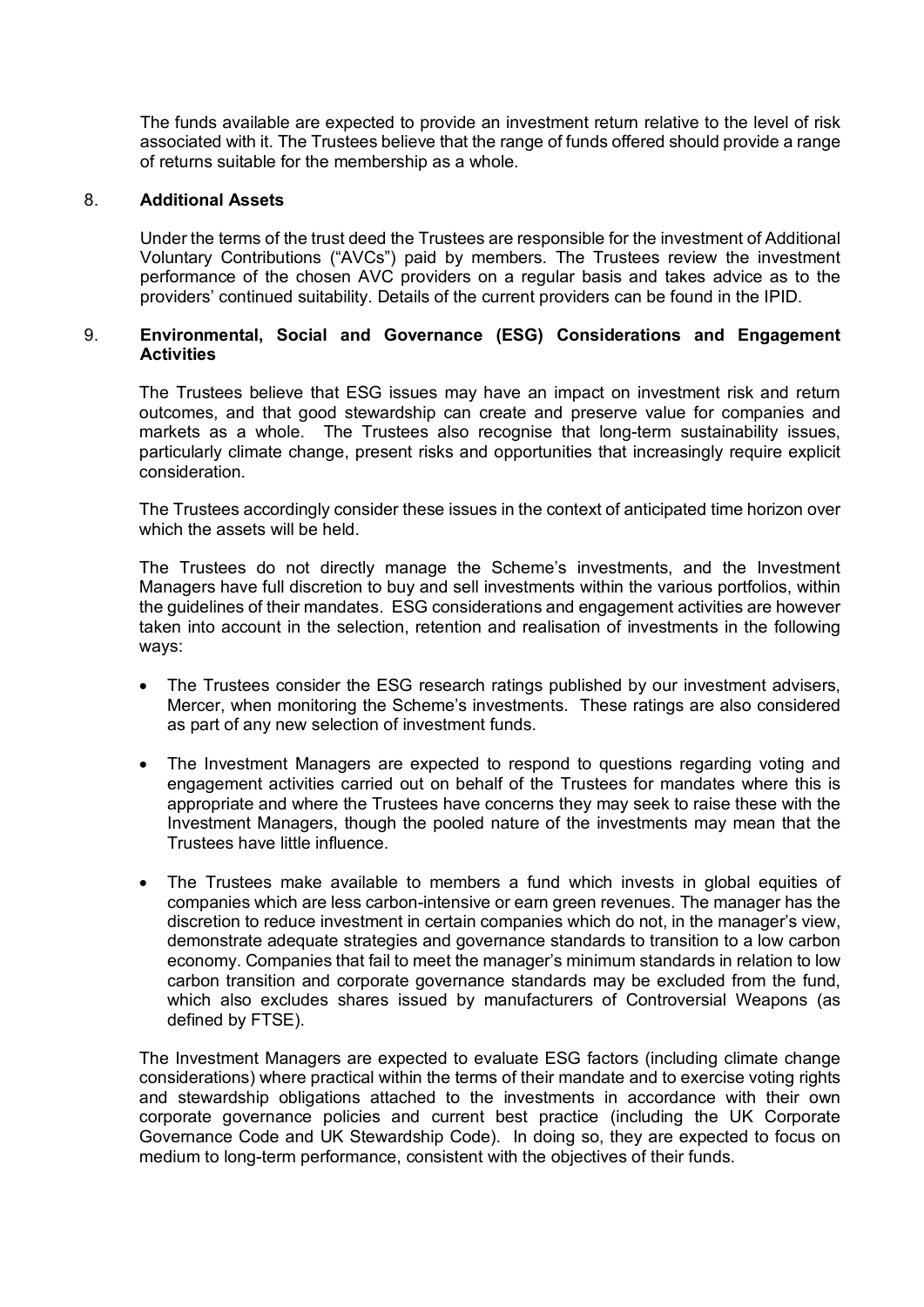The funds available are expected to provide an investment return relative to the level of risk associated with it. The Trustees believe that the range of funds offered should provide a range of returns suitable for the membership as a whole.

#### 8. **Additional Assets**

Under the terms of the trust deed the Trustees are responsible for the investment of Additional Voluntary Contributions ("AVCs") paid by members. The Trustees review the investment performance of the chosen AVC providers on a regular basis and takes advice as to the providers' continued suitability. Details of the current providers can be found in the IPID.

#### 9. **Environmental, Social and Governance (ESG) Considerations and Engagement Activities**

The Trustees believe that ESG issues may have an impact on investment risk and return outcomes, and that good stewardship can create and preserve value for companies and markets as a whole. The Trustees also recognise that long-term sustainability issues, particularly climate change, present risks and opportunities that increasingly require explicit consideration.

The Trustees accordingly consider these issues in the context of anticipated time horizon over which the assets will be held.

The Trustees do not directly manage the Scheme's investments, and the Investment Managers have full discretion to buy and sell investments within the various portfolios, within the guidelines of their mandates. ESG considerations and engagement activities are however taken into account in the selection, retention and realisation of investments in the following ways:

- The Trustees consider the ESG research ratings published by our investment advisers, Mercer, when monitoring the Scheme's investments. These ratings are also considered as part of any new selection of investment funds.
- The Investment Managers are expected to respond to questions regarding voting and engagement activities carried out on behalf of the Trustees for mandates where this is appropriate and where the Trustees have concerns they may seek to raise these with the Investment Managers, though the pooled nature of the investments may mean that the Trustees have little influence.
- The Trustees make available to members a fund which invests in global equities of companies which are less carbon-intensive or earn green revenues. The manager has the discretion to reduce investment in certain companies which do not, in the manager's view, demonstrate adequate strategies and governance standards to transition to a low carbon economy. Companies that fail to meet the manager's minimum standards in relation to low carbon transition and corporate governance standards may be excluded from the fund, which also excludes shares issued by manufacturers of Controversial Weapons (as defined by FTSE).

The Investment Managers are expected to evaluate ESG factors (including climate change considerations) where practical within the terms of their mandate and to exercise voting rights and stewardship obligations attached to the investments in accordance with their own corporate governance policies and current best practice (including the UK Corporate Governance Code and UK Stewardship Code). In doing so, they are expected to focus on medium to long-term performance, consistent with the objectives of their funds.